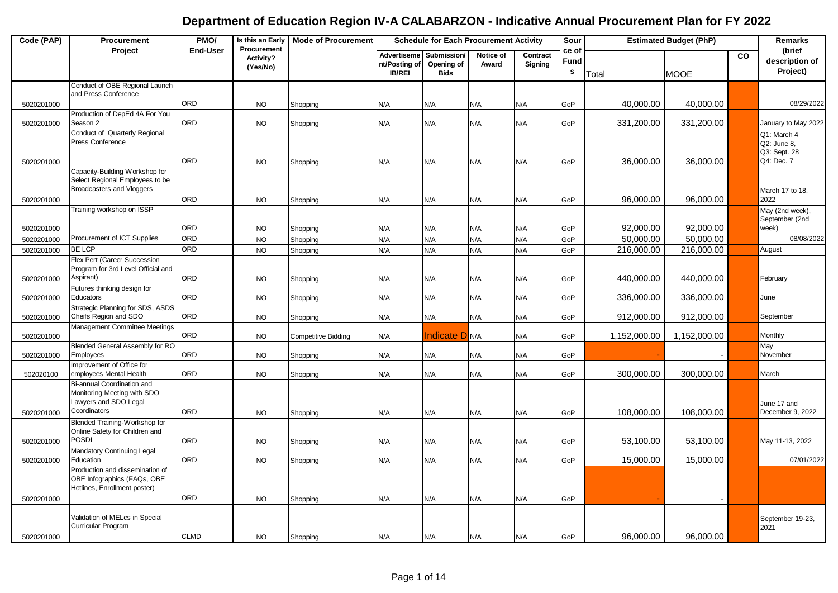| Code (PAP) | Procurement                                                                                        | PMO/            | Is this an Early                     | <b>Mode of Procurement</b> | <b>Schedule for Each Procurement Activity</b>        |                                          |                    | Sour                |                    | <b>Estimated Budget (PhP)</b> |              | Remarks   |                                            |
|------------|----------------------------------------------------------------------------------------------------|-----------------|--------------------------------------|----------------------------|------------------------------------------------------|------------------------------------------|--------------------|---------------------|--------------------|-------------------------------|--------------|-----------|--------------------------------------------|
|            | Project                                                                                            | <b>End-User</b> | Procurement<br>Activity?<br>(Yes/No) |                            | <b>Advertiseme</b><br>nt/Posting of<br><b>IB/REI</b> | Submission/<br>Opening of<br><b>Bids</b> | Notice of<br>Award | Contract<br>Signing | ce of<br>Fund<br>s | Total                         | <b>MOOE</b>  | <b>CO</b> | (brief<br>description of<br>Project)       |
|            | Conduct of OBE Regional Launch                                                                     |                 |                                      |                            |                                                      |                                          |                    |                     |                    |                               |              |           |                                            |
| 5020201000 | and Press Conference                                                                               | ORD             | <b>NO</b>                            |                            | N/A                                                  | N/A                                      | N/A                | N/A                 | GoP                | 40,000.00                     | 40,000.00    |           | 08/29/2022                                 |
|            | Production of DepEd 4A For You                                                                     |                 |                                      | Shopping                   |                                                      |                                          |                    |                     |                    |                               |              |           |                                            |
| 5020201000 | Season 2                                                                                           | ORD             | <b>NO</b>                            | Shopping                   | N/A                                                  | N/A                                      | N/A                | N/A                 | GoP                | 331,200.00                    | 331,200.00   |           | January to May 2022                        |
|            | Conduct of Quarterly Regional<br>Press Conference                                                  |                 |                                      |                            |                                                      |                                          |                    |                     |                    |                               |              |           | Q1: March 4<br>Q2: June 8,<br>Q3: Sept. 28 |
| 5020201000 |                                                                                                    | ORD             | <b>NO</b>                            | Shopping                   | N/A                                                  | N/A                                      | N/A                | N/A                 | GoP                | 36,000.00                     | 36,000.00    |           | Q4: Dec. 7                                 |
| 5020201000 | Capacity-Building Workshop for<br>Select Regional Employees to be<br>Broadcasters and Vloggers     | ORD             | <b>NO</b>                            |                            | N/A                                                  | N/A                                      | N/A                | N/A                 | GoP                | 96,000.00                     | 96,000.00    |           | March 17 to 18,<br>2022                    |
|            | Training workshop on ISSP                                                                          |                 |                                      | Shopping                   |                                                      |                                          |                    |                     |                    |                               |              |           | May (2nd week),                            |
| 5020201000 |                                                                                                    | ORD             | <b>NO</b>                            | Shopping                   | N/A                                                  | N/A                                      | N/A                | N/A                 | GoP                | 92,000.00                     | 92,000.00    |           | September (2nd<br>week)                    |
| 5020201000 | Procurement of ICT Supplies                                                                        | ORD             | <b>NO</b>                            | Shopping                   | N/A                                                  | N/A                                      | N/A                | N/A                 | GoP                | 50,000.00                     | 50,000.00    |           | 08/08/2022                                 |
| 5020201000 | <b>BE LCP</b>                                                                                      | ORD             | <b>NO</b>                            | Shopping                   | N/A                                                  | N/A                                      | N/A                | N/A                 | GoP                | 216,000.00                    | 216,000.00   |           | August                                     |
| 5020201000 | Flex Pert (Career Succession<br>Program for 3rd Level Official and<br>Aspirant)                    | ORD             | <b>NO</b>                            | Shopping                   | N/A                                                  | N/A                                      | N/A                | N/A                 | GoP                | 440,000.00                    | 440,000.00   |           | February                                   |
| 5020201000 | Futures thinking design for<br>Educators                                                           | ORD             | <b>NO</b>                            | Shopping                   | N/A                                                  | N/A                                      | N/A                | N/A                 | GoP                | 336,000.00                    | 336,000.00   |           | June                                       |
| 5020201000 | Strategic Planning for SDS, ASDS<br>Cheifs Region and SDO                                          | ORD             | <b>NO</b>                            | Shopping                   | N/A                                                  | N/A                                      | N/A                | N/A                 | GoP                | 912,000.00                    | 912,000.00   |           | September                                  |
| 5020201000 | Management Committee Meetings                                                                      | ORD             | <b>NO</b>                            | Competitive Bidding        | N/A                                                  | ndicate D N/A                            |                    | N/A                 | GoP                | 1,152,000.00                  | 1,152,000.00 |           | Monthly                                    |
| 5020201000 | Blended General Assembly for RO<br>Employees                                                       | ORD             | <b>NO</b>                            | Shopping                   | N/A                                                  | N/A                                      | N/A                | N/A                 | GoP                |                               |              |           | May<br>November                            |
| 502020100  | Improvement of Office for<br>employees Mental Health                                               | ORD             | <b>NO</b>                            | Shopping                   | N/A                                                  | N/A                                      | N/A                | N/A                 | GoP                | 300,000.00                    | 300,000.00   |           | March                                      |
| 5020201000 | Bi-annual Coordination and<br>Monitoring Meeting with SDO<br>Lawyers and SDO Legal<br>Coordinators | ORD             | <b>NO</b>                            | Shopping                   | N/A                                                  | N/A                                      | N/A                | N/A                 | GoP                | 108,000.00                    | 108,000.00   |           | June 17 and<br>December 9, 2022            |
|            | Blended Training-Workshop for<br>Online Safety for Children and                                    |                 |                                      |                            |                                                      |                                          |                    |                     |                    |                               |              |           |                                            |
| 5020201000 | Posdi                                                                                              | ORD             | <b>NO</b>                            | Shopping                   | N/A                                                  | N/A                                      | N/A                | N/A                 | GoP                | 53,100.00                     | 53,100.00    |           | May 11-13, 2022                            |
| 5020201000 | Mandatory Continuing Legal<br>Education                                                            | ORD             | <b>NO</b>                            | Shopping                   | N/A                                                  | N/A                                      | N/A                | N/A                 | GoP                | 15,000.00                     | 15,000.00    |           | 07/01/2022                                 |
| 5020201000 | Production and dissemination of<br>OBE Infographics (FAQs, OBE<br>Hotlines, Enrollment poster)     | ORD             | <b>NO</b>                            | Shopping                   | N/A                                                  | N/A                                      | N/A                | N/A                 | GoP                |                               |              |           |                                            |
| 5020201000 | Validation of MELcs in Special<br>Curricular Program                                               | <b>CLMD</b>     | <b>NO</b>                            | Shopping                   | N/A                                                  | N/A                                      | N/A                | N/A                 | GoP                | 96,000.00                     | 96,000.00    |           | September 19-23,<br>2021                   |
|            |                                                                                                    |                 |                                      |                            |                                                      |                                          |                    |                     |                    |                               |              |           |                                            |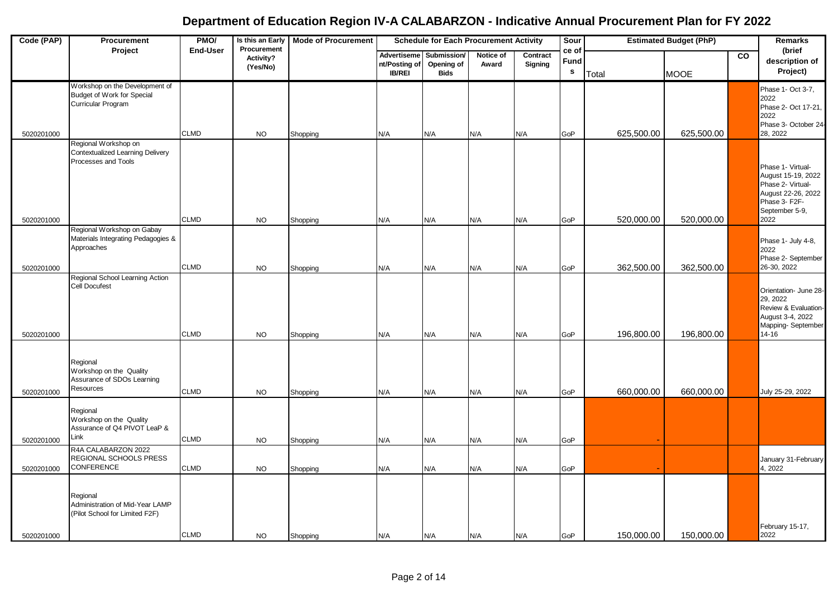| Code (PAP) | Procurement                                                                            | PMO/<br>Is this an Early<br><b>Mode of Procurement</b><br><b>Schedule for Each Procurement Activity</b><br>Sour<br><b>Estimated Budget (PhP)</b><br>Procurement |                       |          |                                               | Remarks                                  |                    |                     |                               |       |            |             |                |                                                                                                                               |
|------------|----------------------------------------------------------------------------------------|-----------------------------------------------------------------------------------------------------------------------------------------------------------------|-----------------------|----------|-----------------------------------------------|------------------------------------------|--------------------|---------------------|-------------------------------|-------|------------|-------------|----------------|-------------------------------------------------------------------------------------------------------------------------------|
|            | Project                                                                                | <b>End-User</b>                                                                                                                                                 | Activity?<br>(Yes/No) |          | Advertiseme<br>nt/Posting of<br><b>IB/REI</b> | Submission/<br>Opening of<br><b>Bids</b> | Notice of<br>Award | Contract<br>Signing | ce of<br>Fund<br>$\mathbf{s}$ | Total |            | <b>MOOE</b> | $\overline{c}$ | (brief<br>description of<br>Project)                                                                                          |
|            | Workshop on the Development of<br>Budget of Work for Special<br>Curricular Program     |                                                                                                                                                                 |                       |          |                                               |                                          |                    |                     |                               |       |            |             |                | Phase 1- Oct 3-7,<br>2022<br>Phase 2- Oct 17-21,<br>2022<br>Phase 3- October 24-                                              |
| 5020201000 |                                                                                        | <b>CLMD</b>                                                                                                                                                     | <b>NO</b>             | Shopping | N/A                                           | N/A                                      | N/A                | N/A                 | GoP                           |       | 625,500.00 | 625,500.00  |                | 28, 2022                                                                                                                      |
| 5020201000 | Regional Workshop on<br><b>Contextualized Learning Delivery</b><br>Processes and Tools | <b>CLMD</b>                                                                                                                                                     | <b>NO</b>             | Shopping | N/A                                           | N/A                                      | N/A                | N/A                 | GoP                           |       | 520,000.00 | 520,000.00  |                | Phase 1- Virtual-<br>August 15-19, 2022<br>Phase 2- Virtual-<br>August 22-26, 2022<br>Phase 3- F2F-<br>September 5-9,<br>2022 |
| 5020201000 | Regional Workshop on Gabay<br>Materials Integrating Pedagogies &<br>Approaches         | <b>CLMD</b>                                                                                                                                                     | <b>NO</b>             | Shopping | N/A                                           | N/A                                      | N/A                | N/A                 | GoP                           |       | 362,500.00 | 362,500.00  |                | Phase 1- July 4-8,<br>2022<br>Phase 2- September<br>26-30, 2022                                                               |
| 5020201000 | Regional School Learning Action<br><b>Cell Docufest</b>                                | <b>CLMD</b>                                                                                                                                                     | <b>NO</b>             | Shopping | N/A                                           | N/A                                      | N/A                | N/A                 | GoP                           |       | 196,800.00 | 196,800.00  |                | Orientation- June 28-<br>29, 2022<br>Review & Evaluation-<br>August 3-4, 2022<br>Mapping-September<br>14-16                   |
| 5020201000 | Regional<br>Workshop on the Quality<br>Assurance of SDOs Learning<br>Resources         | <b>CLMD</b>                                                                                                                                                     | <b>NO</b>             | Shopping | N/A                                           | N/A                                      | N/A                | N/A                 | GoP                           |       | 660,000.00 | 660,000.00  |                | July 25-29, 2022                                                                                                              |
| 5020201000 | Regional<br>Workshop on the Quality<br>Assurance of Q4 PIVOT LeaP &<br>Link            | <b>CLMD</b>                                                                                                                                                     | <b>NO</b>             | Shopping | N/A                                           | N/A                                      | N/A                | N/A                 | GoP                           |       |            |             |                |                                                                                                                               |
| 5020201000 | R4A CALABARZON 2022<br>REGIONAL SCHOOLS PRESS<br>CONFERENCE                            | <b>CLMD</b>                                                                                                                                                     | <b>NO</b>             | Shopping | N/A                                           | N/A                                      | N/A                | N/A                 | GoP                           |       |            |             |                | January 31-February<br>4, 2022                                                                                                |
|            | Regional<br>Administration of Mid-Year LAMP<br>(Pilot School for Limited F2F)          | <b>CLMD</b>                                                                                                                                                     |                       |          |                                               |                                          |                    |                     |                               |       | 150,000.00 | 150,000.00  |                | February 15-17,<br>2022                                                                                                       |
| 5020201000 |                                                                                        |                                                                                                                                                                 | <b>NO</b>             | Shopping | N/A                                           | N/A                                      | N/A                | N/A                 | GoP                           |       |            |             |                |                                                                                                                               |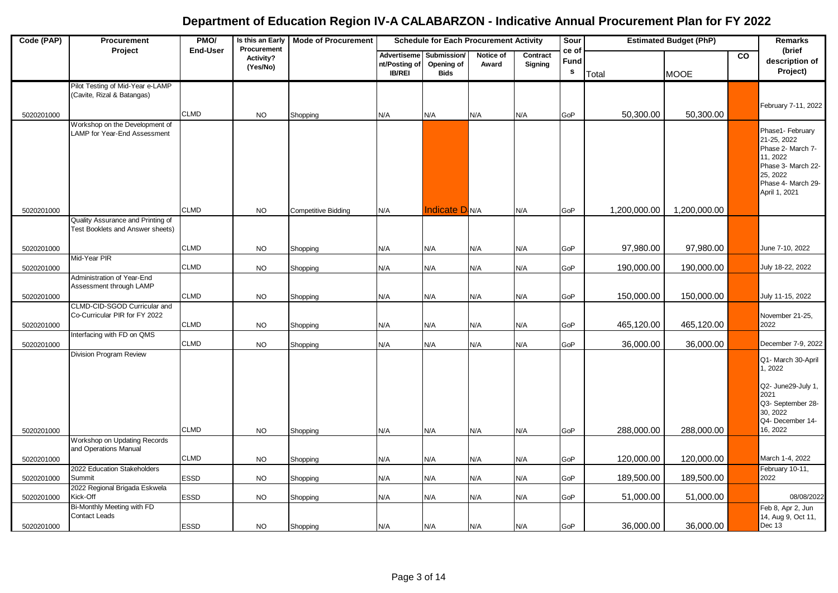| Code (PAP) | Procurement                                                           | PMO/            | Is this an Early                     | <b>Mode of Procurement</b> | <b>Schedule for Each Procurement Activity</b> |                                                      |                    |                     | Sour                          |              | <b>Estimated Budget (PhP)</b> |           | Remarks                                                                                                                                   |
|------------|-----------------------------------------------------------------------|-----------------|--------------------------------------|----------------------------|-----------------------------------------------|------------------------------------------------------|--------------------|---------------------|-------------------------------|--------------|-------------------------------|-----------|-------------------------------------------------------------------------------------------------------------------------------------------|
|            | Project                                                               | <b>End-User</b> | Procurement<br>Activity?<br>(Yes/No) |                            | nt/Posting of<br><b>IB/REI</b>                | Advertiseme Submission/<br>Opening of<br><b>Bids</b> | Notice of<br>Award | Contract<br>Signing | ce of<br>Fund<br>$\mathbf{s}$ | Total        | <b>MOOE</b>                   | <b>CO</b> | (brief<br>description of<br>Project)                                                                                                      |
| 5020201000 | Pilot Testing of Mid-Year e-LAMP<br>(Cavite, Rizal & Batangas)        | <b>CLMD</b>     | <b>NO</b>                            | Shopping                   | N/A                                           | N/A                                                  | N/A                | N/A                 | GoP                           | 50,300.00    | 50,300.00                     |           | February 7-11, 2022                                                                                                                       |
| 5020201000 | Workshop on the Development of<br>LAMP for Year-End Assessment        | <b>CLMD</b>     | <b>NO</b>                            | <b>Competitive Bidding</b> | N/A                                           | <b>Indicate D</b> N/A                                |                    | N/A                 | GoP                           | 1,200,000.00 | 1,200,000.00                  |           | Phase1- February<br>21-25, 2022<br>Phase 2- March 7-<br>11, 2022<br>Phase 3- March 22-<br>25, 2022<br>Phase 4- March 29-<br>April 1, 2021 |
|            | Quality Assurance and Printing of<br>Test Booklets and Answer sheets) |                 |                                      |                            |                                               |                                                      |                    |                     |                               |              |                               |           |                                                                                                                                           |
| 5020201000 |                                                                       | <b>CLMD</b>     | <b>NO</b>                            | Shopping                   | N/A                                           | N/A                                                  | N/A                | N/A                 | GoP                           | 97,980.00    | 97,980.00                     |           | June 7-10, 2022                                                                                                                           |
| 5020201000 | Mid-Year PIR                                                          | <b>CLMD</b>     | <b>NO</b>                            | Shopping                   | N/A                                           | N/A                                                  | N/A                | N/A                 | GoP                           | 190,000.00   | 190,000.00                    |           | July 18-22, 2022                                                                                                                          |
|            | Administration of Year-End<br>Assessment through LAMP                 |                 |                                      |                            |                                               |                                                      |                    |                     |                               |              |                               |           |                                                                                                                                           |
| 5020201000 | CLMD-CID-SGOD Curricular and                                          | <b>CLMD</b>     | <b>NO</b>                            | Shopping                   | N/A                                           | N/A                                                  | N/A                | N/A                 | GoP                           | 150,000.00   | 150,000.00                    |           | July 11-15, 2022                                                                                                                          |
| 5020201000 | Co-Curricular PIR for FY 2022                                         | <b>CLMD</b>     | <b>NO</b>                            | Shopping                   | N/A                                           | N/A                                                  | N/A                | N/A                 | GoP                           | 465,120.00   | 465,120.00                    |           | November 21-25,<br>2022                                                                                                                   |
| 5020201000 | Interfacing with FD on QMS                                            | <b>CLMD</b>     | <b>NO</b>                            | Shopping                   | N/A                                           | N/A                                                  | N/A                | N/A                 | GoP                           | 36,000.00    | 36,000.00                     |           | December 7-9, 2022                                                                                                                        |
|            | Division Program Review                                               |                 |                                      |                            |                                               |                                                      |                    |                     |                               |              |                               |           | Q1- March 30-April<br>1, 2022<br>Q2- June29-July 1,<br>2021                                                                               |
| 5020201000 |                                                                       | <b>CLMD</b>     | <b>NO</b>                            | Shopping                   | N/A                                           | N/A                                                  | N/A                | N/A                 | GoP                           | 288,000.00   | 288,000.00                    |           | Q3- September 28-<br>30, 2022<br>Q4- December 14-<br>16, 2022                                                                             |
|            | Workshop on Updating Records                                          |                 |                                      |                            |                                               |                                                      |                    |                     |                               |              |                               |           |                                                                                                                                           |
| 5020201000 | and Operations Manual                                                 | <b>CLMD</b>     | <b>NO</b>                            | Shopping                   | N/A                                           | N/A                                                  | N/A                | N/A                 | GoP                           | 120,000.00   | 120,000.00                    |           | March 1-4, 2022                                                                                                                           |
| 5020201000 | 2022 Education Stakeholders<br>Summit                                 | <b>ESSD</b>     | <b>NO</b>                            | Shopping                   | N/A                                           | N/A                                                  | N/A                | N/A                 | GoP                           | 189,500.00   | 189,500.00                    |           | February 10-11,<br>2022                                                                                                                   |
| 5020201000 | 2022 Regional Brigada Eskwela<br>Kick-Off                             | <b>ESSD</b>     | <b>NO</b>                            | Shopping                   | N/A                                           | N/A                                                  | N/A                | N/A                 | GoP                           | 51,000.00    | 51,000.00                     |           | 08/08/2022                                                                                                                                |
|            | Bi-Monthly Meeting with FD<br>Contact Leads                           |                 |                                      |                            |                                               |                                                      |                    |                     |                               |              |                               |           | Feb 8, Apr 2, Jun<br>14, Aug 9, Oct 11,                                                                                                   |
| 5020201000 |                                                                       | <b>ESSD</b>     | <b>NO</b>                            | Shopping                   | N/A                                           | N/A                                                  | N/A                | N/A                 | GoP                           | 36,000.00    | 36,000.00                     |           | Dec 13                                                                                                                                    |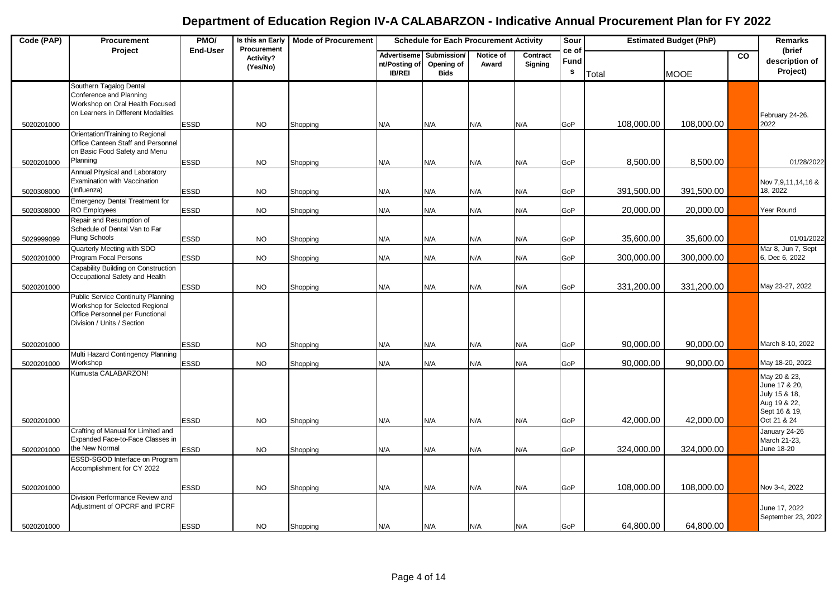| Code (PAP)               | Procurement                                                                                                                                  | PMO/                | Is this an Early                     | <b>Mode of Procurement</b> | <b>Schedule for Each Procurement Activity</b> |                                          |                    |                     | Sour               |                         | <b>Estimated Budget (PhP)</b> |           | Remarks                                                                                        |
|--------------------------|----------------------------------------------------------------------------------------------------------------------------------------------|---------------------|--------------------------------------|----------------------------|-----------------------------------------------|------------------------------------------|--------------------|---------------------|--------------------|-------------------------|-------------------------------|-----------|------------------------------------------------------------------------------------------------|
|                          | Project                                                                                                                                      | <b>End-User</b>     | Procurement<br>Activity?<br>(Yes/No) |                            | Advertiseme<br>nt/Posting of<br><b>IB/REI</b> | Submission/<br>Opening of<br><b>Bids</b> | Notice of<br>Award | Contract<br>Signing | ce of<br>Fund<br>s | Total                   | <b>MOOE</b>                   | <b>CO</b> | (brief<br>description of<br>Project)                                                           |
| 5020201000               | Southern Tagalog Dental<br>Conference and Planning<br>Workshop on Oral Health Focused<br>on Learners in Different Modalities                 | ESSD                | <b>NO</b>                            | Shopping                   | N/A                                           | N/A                                      | N/A                | N/A                 | GoP                | 108,000.00              | 108,000.00                    |           | February 24-26.<br>2022                                                                        |
|                          | Orientation/Training to Regional<br>Office Canteen Staff and Personnel<br>on Basic Food Safety and Menu                                      |                     |                                      |                            |                                               |                                          |                    |                     |                    |                         |                               |           |                                                                                                |
| 5020201000               | Planning<br>Annual Physical and Laboratory<br>Examination with Vaccination                                                                   | ESSD                | <b>NO</b>                            | Shopping                   | N/A                                           | N/A                                      | N/A                | N/A                 | GoP                | 8,500.00                | 8,500.00                      |           | 01/28/2022<br>Nov 7,9,11,14,16 &                                                               |
| 5020308000<br>5020308000 | (Influenza)<br><b>Emergency Dental Treatment for</b><br><b>RO Employees</b>                                                                  | ESSD<br><b>ESSD</b> | <b>NO</b><br><b>NO</b>               | Shopping<br>Shopping       | N/A<br>N/A                                    | N/A<br>N/A                               | N/A<br>N/A         | N/A<br>N/A          | GoP<br>GoP         | 391,500.00<br>20,000.00 | 391,500.00<br>20,000.00       |           | 18.2022<br>Year Round                                                                          |
| 5029999099               | Repair and Resumption of<br>Schedule of Dental Van to Far<br><b>Flung Schools</b>                                                            | <b>ESSD</b>         | <b>NO</b>                            | Shopping                   | N/A                                           | N/A                                      | N/A                | N/A                 | GoP                | 35,600.00               | 35,600.00                     |           | 01/01/2022                                                                                     |
| 5020201000               | Quarterly Meeting with SDO<br>Program Focal Persons                                                                                          | <b>ESSD</b>         | <b>NO</b>                            | Shopping                   | N/A                                           | N/A                                      | N/A                | N/A                 | GoP                | 300,000.00              | 300,000.00                    |           | Mar 8, Jun 7, Sept<br>6, Dec 6, 2022                                                           |
| 5020201000               | Capability Building on Construction<br>Occupational Safety and Health                                                                        | <b>ESSD</b>         | <b>NO</b>                            | Shopping                   | N/A                                           | N/A                                      | N/A                | N/A                 | GoP                | 331,200.00              | 331,200.00                    |           | May 23-27, 2022                                                                                |
|                          | <b>Public Service Continuity Planning</b><br>Workshop for Selected Regional<br>Office Personnel per Functional<br>Division / Units / Section |                     |                                      |                            |                                               |                                          |                    |                     |                    |                         |                               |           |                                                                                                |
| 5020201000               | Multi Hazard Contingency Planning                                                                                                            | <b>ESSD</b>         | <b>NO</b>                            | Shopping                   | N/A                                           | N/A                                      | N/A                | N/A                 | GoP                | 90,000.00               | 90,000.00                     |           | March 8-10, 2022                                                                               |
| 5020201000               | <b>Workshop</b><br>Kumusta CALABARZON!                                                                                                       | ESSD                | <b>NO</b>                            | Shopping                   | N/A                                           | N/A                                      | N/A                | N/A                 | GoP                | 90,000.00               | 90,000.00                     |           | May 18-20, 2022                                                                                |
| 5020201000               |                                                                                                                                              | ESSD                | <b>NO</b>                            | Shopping                   | N/A                                           | N/A                                      | N/A                | N/A                 | GoP                | 42,000.00               | 42,000.00                     |           | May 20 & 23,<br>June 17 & 20,<br>July 15 & 18,<br>Aug 19 & 22,<br>Sept 16 & 19,<br>Oct 21 & 24 |
| 5020201000               | Crafting of Manual for Limited and<br>Expanded Face-to-Face Classes in<br>the New Normal                                                     | <b>ESSD</b>         | <b>NO</b>                            | Shopping                   | N/A                                           | N/A                                      | N/A                | N/A                 | GoP                | 324,000.00              | 324,000.00                    |           | January 24-26<br>March 21-23,<br>June 18-20                                                    |
|                          | ESSD-SGOD Interface on Program<br>Accomplishment for CY 2022                                                                                 |                     |                                      |                            |                                               |                                          |                    |                     |                    |                         |                               |           |                                                                                                |
| 5020201000               | Division Performance Review and                                                                                                              | ESSD                | <b>NO</b>                            | Shopping                   | N/A                                           | N/A                                      | N/A                | N/A                 | GoP                | 108,000.00              | 108,000.00                    |           | Nov 3-4, 2022                                                                                  |
| 5020201000               | Adjustment of OPCRF and IPCRF                                                                                                                | <b>ESSD</b>         | <b>NO</b>                            | Shopping                   | N/A                                           | N/A                                      | N/A                | N/A                 | GoP                | 64,800.00               | 64,800.00                     |           | June 17, 2022<br>September 23, 2022                                                            |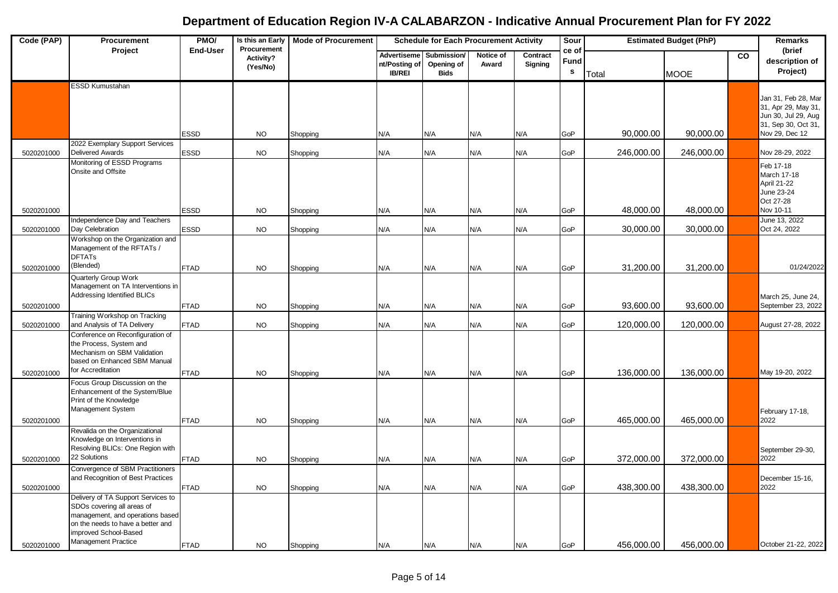| Code (PAP)               | Procurement                                                                                                                                                                               | PMO/                       | Procurement            | Is this an Early   Mode of Procurement | <b>Estimated Budget (PhP)</b><br><b>Schedule for Each Procurement Activity</b><br>Sour<br>ce of |                                          |                    |                     |                                   | <b>Remarks</b>         |                        |           |                                                                                                            |
|--------------------------|-------------------------------------------------------------------------------------------------------------------------------------------------------------------------------------------|----------------------------|------------------------|----------------------------------------|-------------------------------------------------------------------------------------------------|------------------------------------------|--------------------|---------------------|-----------------------------------|------------------------|------------------------|-----------|------------------------------------------------------------------------------------------------------------|
|                          | Project                                                                                                                                                                                   | <b>End-User</b>            | Activity?<br>(Yes/No)  |                                        | Advertiseme<br>nt/Posting of<br><b>IB/REI</b>                                                   | Submission/<br>Opening of<br><b>Bids</b> | Notice of<br>Award | Contract<br>Signing | Fund<br>$\boldsymbol{\mathsf{s}}$ | Total                  | <b>MOOE</b>            | <b>CO</b> | (brief<br>description of<br>Project)                                                                       |
|                          | <b>ESSD Kumustahan</b>                                                                                                                                                                    | <b>ESSD</b>                | <b>NO</b>              | Shopping                               | N/A                                                                                             | N/A                                      | N/A                | N/A                 | GoP                               | 90,000.00              | 90,000.00              |           | Jan 31, Feb 28, Mar<br>31, Apr 29, May 31,<br>Jun 30, Jul 29, Aug<br>31, Sep 30, Oct 31,<br>Nov 29, Dec 12 |
| 5020201000               | 2022 Exemplary Support Services<br><b>Delivered Awards</b>                                                                                                                                | <b>ESSD</b>                | <b>NO</b>              | Shopping                               | N/A                                                                                             | N/A                                      | N/A                | N/A                 | GoP                               | 246,000.00             | 246,000.00             |           | Nov 28-29, 2022                                                                                            |
| 5020201000               | Monitoring of ESSD Programs<br>Onsite and Offsite                                                                                                                                         | <b>ESSD</b>                | <b>NO</b>              | Shopping                               | N/A                                                                                             | N/A                                      | N/A                | N/A                 | GoP                               | 48,000.00              | 48,000.00              |           | Feb 17-18<br>March 17-18<br>April 21-22<br>June 23-24<br>Oct 27-28<br>Nov 10-11                            |
|                          | Independence Day and Teachers<br>Day Celebration                                                                                                                                          |                            |                        |                                        |                                                                                                 |                                          |                    |                     |                                   |                        |                        |           | June 13, 2022<br>Oct 24, 2022                                                                              |
| 5020201000<br>5020201000 | Workshop on the Organization and<br>Management of the RFTATs /<br><b>DFTATs</b><br>(Blended)                                                                                              | <b>ESSD</b><br><b>FTAD</b> | <b>NO</b><br><b>NO</b> | Shopping<br>Shopping                   | N/A<br>N/A                                                                                      | N/A<br>N/A                               | N/A<br>N/A         | N/A<br>N/A          | GoP<br>GoP                        | 30,000.00<br>31,200.00 | 30,000.00<br>31,200.00 |           | 01/24/2022                                                                                                 |
| 5020201000               | Quarterly Group Work<br>Management on TA Interventions in<br>Addressing Identified BLICs                                                                                                  | <b>FTAD</b>                | <b>NO</b>              | Shopping                               | N/A                                                                                             | N/A                                      | N/A                | N/A                 | GoP                               | 93,600.00              | 93,600.00              |           | March 25, June 24,<br>September 23, 2022                                                                   |
| 5020201000               | Training Workshop on Tracking<br>and Analysis of TA Delivery                                                                                                                              | <b>FTAD</b>                | <b>NO</b>              | Shopping                               | N/A                                                                                             | N/A                                      | N/A                | N/A                 | GoP                               | 120,000.00             | 120,000.00             |           | August 27-28, 2022                                                                                         |
|                          | Conference on Reconfiguration of<br>the Process, System and<br>Mechanism on SBM Validation<br>based on Enhanced SBM Manual<br>for Accreditation                                           |                            |                        |                                        |                                                                                                 |                                          |                    |                     |                                   |                        |                        |           |                                                                                                            |
| 5020201000               | Focus Group Discussion on the                                                                                                                                                             | <b>FTAD</b>                | <b>NO</b>              | Shopping                               | N/A                                                                                             | N/A                                      | N/A                | N/A                 | GoP                               | 136,000.00             | 136,000.00             |           | May 19-20, 2022                                                                                            |
| 5020201000               | Enhancement of the System/Blue<br>Print of the Knowledge<br>Management System                                                                                                             | <b>FTAD</b>                | <b>NO</b>              | Shopping                               | N/A                                                                                             | N/A                                      | N/A                | N/A                 | GoP                               | 465,000.00             | 465,000.00             |           | February 17-18,<br>2022                                                                                    |
|                          | Revalida on the Organizational<br>Knowledge on Interventions in<br>Resolving BLICs: One Region with                                                                                       |                            |                        |                                        |                                                                                                 |                                          |                    |                     |                                   |                        |                        |           | September 29-30,                                                                                           |
| 5020201000               | 22 Solutions<br>Convergence of SBM Practitioners                                                                                                                                          | <b>FTAD</b>                | <b>NO</b>              | Shopping                               | N/A                                                                                             | N/A                                      | N/A                | N/A                 | GoP                               | 372,000.00             | 372,000.00             |           | 2022                                                                                                       |
| 5020201000               | and Recognition of Best Practices                                                                                                                                                         | <b>FTAD</b>                | <b>NO</b>              | Shopping                               | N/A                                                                                             | N/A                                      | N/A                | N/A                 | GoP                               | 438,300.00             | 438,300.00             |           | December 15-16,<br>2022                                                                                    |
| 5020201000               | Delivery of TA Support Services to<br>SDOs covering all areas of<br>management, and operations based<br>on the needs to have a better and<br>improved School-Based<br>Management Practice | <b>FTAD</b>                | <b>NO</b>              | Shopping                               | N/A                                                                                             | N/A                                      | N/A                | N/A                 | GoP                               | 456,000.00             | 456,000.00             |           | October 21-22, 2022                                                                                        |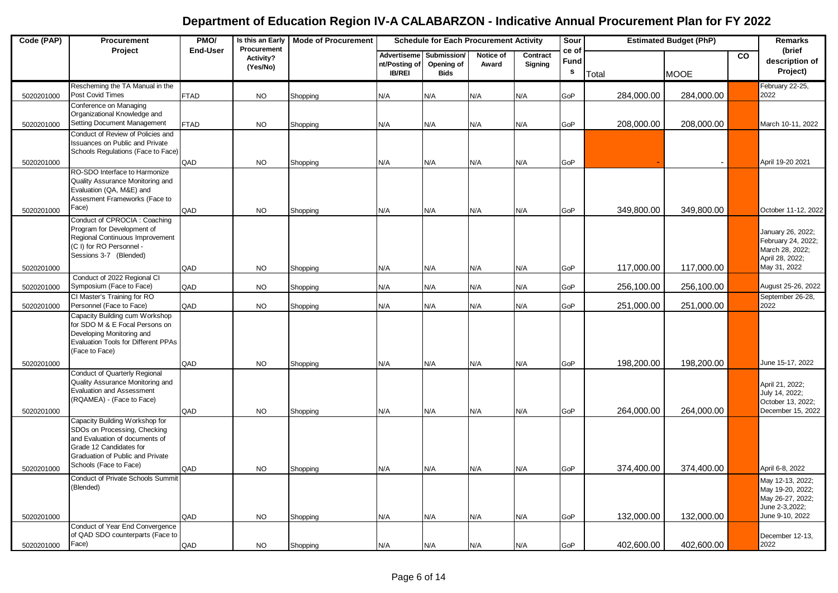| Code (PAP) | Procurement                                                    | PMO/            | Is this an Early<br>Procurement | <b>Mode of Procurement</b> | <b>Schedule for Each Procurement Activity</b> |                                          |                    |                     | Sour                          |            | <b>Estimated Budget (PhP)</b> |                | Remarks                                 |
|------------|----------------------------------------------------------------|-----------------|---------------------------------|----------------------------|-----------------------------------------------|------------------------------------------|--------------------|---------------------|-------------------------------|------------|-------------------------------|----------------|-----------------------------------------|
|            | Project                                                        | <b>End-User</b> | Activity?<br>(Yes/No)           |                            | Advertiseme<br>nt/Posting of<br><b>IB/REI</b> | Submission/<br>Opening of<br><b>Bids</b> | Notice of<br>Award | Contract<br>Signing | ce of<br>Fund<br>$\mathbf{s}$ | Total      | <b>MOOE</b>                   | $\overline{c}$ | (brief<br>description of<br>Project)    |
| 5020201000 | Rescheming the TA Manual in the<br>Post Covid Times            | <b>FTAD</b>     | <b>NO</b>                       | Shopping                   | N/A                                           | N/A                                      | N/A                | N/A                 | GoP                           | 284,000.00 | 284,000.00                    |                | February 22-25,<br>2022                 |
|            | Conference on Managing                                         |                 |                                 |                            |                                               |                                          |                    |                     |                               |            |                               |                |                                         |
|            | Organizational Knowledge and<br>Setting Document Management    | FTAD            | <b>NO</b>                       |                            |                                               | N/A                                      | N/A                | N/A                 | GoP                           | 208,000.00 | 208,000.00                    |                | March 10-11, 2022                       |
| 5020201000 | Conduct of Review of Policies and                              |                 |                                 | Shopping                   | N/A                                           |                                          |                    |                     |                               |            |                               |                |                                         |
|            | <b>Issuances on Public and Private</b>                         |                 |                                 |                            |                                               |                                          |                    |                     |                               |            |                               |                |                                         |
| 5020201000 | Schools Regulations (Face to Face)                             | QAD             | <b>NO</b>                       | Shopping                   | N/A                                           | N/A                                      | N/A                | N/A                 | GoP                           |            |                               |                | April 19-20 2021                        |
|            | RO-SDO Interface to Harmonize                                  |                 |                                 |                            |                                               |                                          |                    |                     |                               |            |                               |                |                                         |
|            | Quality Assurance Monitoring and<br>Evaluation (QA, M&E) and   |                 |                                 |                            |                                               |                                          |                    |                     |                               |            |                               |                |                                         |
|            | Assesment Frameworks (Face to                                  |                 |                                 |                            |                                               |                                          |                    |                     |                               |            |                               |                |                                         |
| 5020201000 | Face)                                                          | QAD             | <b>NO</b>                       | Shopping                   | N/A                                           | N/A                                      | N/A                | N/A                 | GoP                           | 349,800.00 | 349,800.00                    |                | October 11-12, 2022                     |
|            | Conduct of CPROCIA : Coaching<br>Program for Development of    |                 |                                 |                            |                                               |                                          |                    |                     |                               |            |                               |                |                                         |
|            | Regional Continuous Improvement                                |                 |                                 |                            |                                               |                                          |                    |                     |                               |            |                               |                | January 26, 2022;<br>February 24, 2022; |
|            | (C I) for RO Personnel -<br>Sessions 3-7 (Blended)             |                 |                                 |                            |                                               |                                          |                    |                     |                               |            |                               |                | March 28, 2022;                         |
| 5020201000 |                                                                | QAD             | <b>NO</b>                       | Shopping                   | N/A                                           | N/A                                      | N/A                | N/A                 | GoP                           | 117,000.00 | 117,000.00                    |                | April 28, 2022;<br>May 31, 2022         |
|            | Conduct of 2022 Regional CI                                    |                 |                                 |                            |                                               |                                          |                    |                     |                               |            |                               |                |                                         |
| 5020201000 | Symposium (Face to Face)<br>CI Master's Training for RO        | QAD             | <b>NO</b>                       | Shopping                   | N/A                                           | N/A                                      | N/A                | N/A                 | GoP                           | 256,100.00 | 256,100.00                    |                | August 25-26, 2022                      |
| 5020201000 | Personnel (Face to Face)                                       | QAD             | <b>NO</b>                       | Shopping                   | N/A                                           | N/A                                      | N/A                | N/A                 | GoP                           | 251,000.00 | 251,000.00                    |                | September 26-28,<br>2022                |
|            | Capacity Building cum Workshop                                 |                 |                                 |                            |                                               |                                          |                    |                     |                               |            |                               |                |                                         |
|            | for SDO M & E Focal Persons on<br>Developing Monitoring and    |                 |                                 |                            |                                               |                                          |                    |                     |                               |            |                               |                |                                         |
|            | <b>Evaluation Tools for Different PPAs</b>                     |                 |                                 |                            |                                               |                                          |                    |                     |                               |            |                               |                |                                         |
|            | (Face to Face)                                                 |                 |                                 |                            |                                               |                                          |                    |                     |                               |            |                               |                |                                         |
| 5020201000 | Conduct of Quarterly Regional                                  | QAD             | <b>NO</b>                       | Shopping                   | N/A                                           | N/A                                      | N/A                | N/A                 | GoP                           | 198,200.00 | 198,200.00                    |                | June 15-17, 2022                        |
|            | Quality Assurance Monitoring and                               |                 |                                 |                            |                                               |                                          |                    |                     |                               |            |                               |                | April 21, 2022;                         |
|            | <b>Evaluation and Assessment</b><br>(RQAMEA) - (Face to Face)  |                 |                                 |                            |                                               |                                          |                    |                     |                               |            |                               |                | July 14, 2022;                          |
| 5020201000 |                                                                | QAD             | <b>NO</b>                       | Shopping                   | N/A                                           | N/A                                      | N/A                | N/A                 | GoP                           | 264,000.00 | 264,000.00                    |                | October 13, 2022;<br>December 15, 2022  |
|            | Capacity Building Workshop for                                 |                 |                                 |                            |                                               |                                          |                    |                     |                               |            |                               |                |                                         |
|            | SDOs on Processing, Checking<br>and Evaluation of documents of |                 |                                 |                            |                                               |                                          |                    |                     |                               |            |                               |                |                                         |
|            | Grade 12 Candidates for                                        |                 |                                 |                            |                                               |                                          |                    |                     |                               |            |                               |                |                                         |
|            | Graduation of Public and Private<br>Schools (Face to Face)     |                 |                                 |                            |                                               |                                          |                    |                     |                               |            |                               |                |                                         |
| 5020201000 | Conduct of Private Schools Summi                               | QAD             | <b>NO</b>                       | Shopping                   | N/A                                           | N/A                                      | N/A                | N/A                 | GoP                           | 374,400.00 | 374,400.00                    |                | April 6-8, 2022                         |
|            | (Blended)                                                      |                 |                                 |                            |                                               |                                          |                    |                     |                               |            |                               |                | May 12-13, 2022;<br>May 19-20, 2022;    |
|            |                                                                |                 |                                 |                            |                                               |                                          |                    |                     |                               |            |                               |                | May 26-27, 2022;<br>June 2-3,2022;      |
| 5020201000 |                                                                | QAD             | <b>NO</b>                       | Shopping                   | N/A                                           | N/A                                      | N/A                | N/A                 | GoP                           | 132,000.00 | 132,000.00                    |                | June 9-10, 2022                         |
|            | Conduct of Year End Convergence                                |                 |                                 |                            |                                               |                                          |                    |                     |                               |            |                               |                |                                         |
| 5020201000 | of QAD SDO counterparts (Face to<br>Face)                      | QAD             | <b>NO</b>                       | Shopping                   | N/A                                           | N/A                                      | N/A                | N/A                 | GoP                           | 402,600.00 | 402,600.00                    |                | December 12-13,<br>2022                 |
|            |                                                                |                 |                                 |                            |                                               |                                          |                    |                     |                               |            |                               |                |                                         |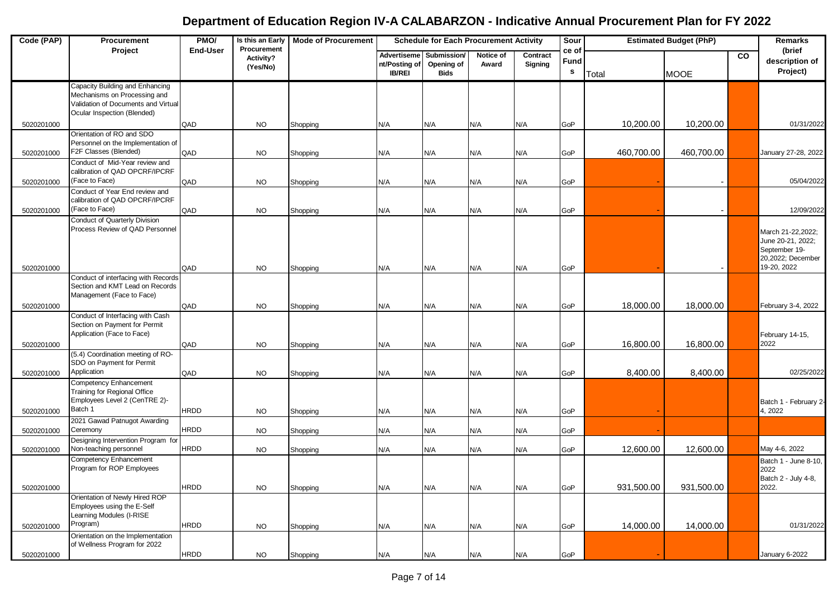| Code (PAP) | Procurement                                                                                                                           | PMO/            | Is this an Early<br>Procurement | <b>Mode of Procurement</b> | <b>Schedule for Each Procurement Activity</b> |                                          |                    | Sour                |                               | <b>Estimated Budget (PhP)</b> |             | Remarks        |                                                                                             |
|------------|---------------------------------------------------------------------------------------------------------------------------------------|-----------------|---------------------------------|----------------------------|-----------------------------------------------|------------------------------------------|--------------------|---------------------|-------------------------------|-------------------------------|-------------|----------------|---------------------------------------------------------------------------------------------|
|            | Project                                                                                                                               | <b>End-User</b> | Activity?<br>(Yes/No)           |                            | Advertiseme<br>nt/Posting of<br><b>IB/REI</b> | Submission/<br>Opening of<br><b>Bids</b> | Notice of<br>Award | Contract<br>Signing | ce of<br>Fund<br>$\mathbf{s}$ | Total                         | <b>MOOE</b> | $\overline{c}$ | (brief<br>description of<br>Project)                                                        |
|            | Capacity Building and Enhancing<br>Mechanisms on Processing and<br>Validation of Documents and Virtual<br>Ocular Inspection (Blended) |                 |                                 |                            |                                               |                                          |                    |                     |                               |                               |             |                |                                                                                             |
| 5020201000 |                                                                                                                                       | QAD             | NO.                             | Shopping                   | N/A                                           | N/A                                      | N/A                | N/A                 | GoP                           | 10,200.00                     | 10,200.00   |                | 01/31/2022                                                                                  |
| 5020201000 | Orientation of RO and SDO<br>Personnel on the Implementation of<br>F2F Classes (Blended)                                              | QAD             | <b>NO</b>                       | Shopping                   | N/A                                           | N/A                                      | N/A                | N/A                 | GoP                           | 460,700.00                    | 460,700.00  |                | January 27-28, 2022                                                                         |
|            | Conduct of Mid-Year review and<br>calibration of QAD OPCRF/IPCRF<br>(Face to Face)                                                    |                 |                                 |                            |                                               |                                          |                    |                     |                               |                               |             |                |                                                                                             |
| 5020201000 | Conduct of Year End review and                                                                                                        | QAD             | <b>NO</b>                       | Shopping                   | N/A                                           | N/A                                      | N/A                | N/A                 | GoP                           |                               |             |                | 05/04/2022                                                                                  |
| 5020201000 | calibration of QAD OPCRF/IPCRF<br>(Face to Face)                                                                                      | QAD             | <b>NO</b>                       | Shopping                   | N/A                                           | N/A                                      | N/A                | N/A                 | GoP                           |                               |             |                | 12/09/2022                                                                                  |
|            | <b>Conduct of Quarterly Division</b><br>Process Review of QAD Personnel                                                               | QAD             | NO.                             |                            | N/A                                           | N/A                                      | N/A                | N/A                 | GoP                           |                               |             |                | March 21-22,2022;<br>June 20-21, 2022;<br>September 19-<br>20,2022; December<br>19-20, 2022 |
| 5020201000 | Conduct of interfacing with Records                                                                                                   |                 |                                 | Shopping                   |                                               |                                          |                    |                     |                               |                               |             |                |                                                                                             |
|            | Section and KMT Lead on Records<br>Management (Face to Face)                                                                          |                 |                                 |                            |                                               |                                          |                    |                     |                               |                               |             |                |                                                                                             |
| 5020201000 | Conduct of Interfacing with Cash                                                                                                      | QAD             | <b>NO</b>                       | Shopping                   | N/A                                           | N/A                                      | N/A                | N/A                 | GoP                           | 18,000.00                     | 18,000.00   |                | February 3-4, 2022                                                                          |
|            | Section on Payment for Permit<br>Application (Face to Face)                                                                           |                 |                                 |                            |                                               |                                          |                    |                     |                               |                               |             |                | February 14-15,                                                                             |
| 5020201000 | (5.4) Coordination meeting of RO-                                                                                                     | QAD             | <b>NO</b>                       | Shopping                   | N/A                                           | N/A                                      | N/A                | N/A                 | GoP                           | 16,800.00                     | 16,800.00   |                | 2022                                                                                        |
| 5020201000 | SDO on Payment for Permit<br>Application                                                                                              | QAD             | <b>NO</b>                       | Shopping                   | N/A                                           | N/A                                      | N/A                | N/A                 | GoP                           | 8,400.00                      | 8,400.00    |                | 02/25/2022                                                                                  |
|            | Competency Enhancement<br>Training for Regional Office<br>Employees Level 2 (CenTRE 2)-                                               |                 |                                 |                            |                                               |                                          |                    |                     |                               |                               |             |                | Batch 1 - February 2-                                                                       |
| 5020201000 | Batch 1                                                                                                                               | <b>HRDD</b>     | NO.                             | Shopping                   | N/A                                           | N/A                                      | N/A                | N/A                 | GoP                           |                               |             |                | 4, 2022                                                                                     |
| 5020201000 | 2021 Gawad Patnugot Awarding<br>Ceremony<br>Designing Intervention Program for                                                        | <b>HRDD</b>     | NO.                             | Shopping                   | N/A                                           | N/A                                      | N/A                | N/A                 | GoP                           |                               |             |                |                                                                                             |
| 5020201000 | Non-teaching personnel                                                                                                                | <b>HRDD</b>     | <b>NO</b>                       | Shopping                   | N/A                                           | N/A                                      | N/A                | N/A                 | GoP                           | 12,600.00                     | 12,600.00   |                | May 4-6, 2022                                                                               |
|            | Competency Enhancement<br>Program for ROP Employees                                                                                   |                 |                                 |                            |                                               |                                          |                    |                     |                               |                               |             |                | Batch 1 - June 8-10,<br>2022<br>Batch 2 - July 4-8,                                         |
| 5020201000 |                                                                                                                                       | <b>HRDD</b>     | <b>NO</b>                       | Shopping                   | N/A                                           | N/A                                      | N/A                | N/A                 | GoP                           | 931,500.00                    | 931,500.00  |                | 2022.                                                                                       |
|            | Orientation of Newly Hired ROP<br>Employees using the E-Self<br>Learning Modules (I-RISE                                              |                 |                                 |                            |                                               |                                          |                    |                     |                               |                               |             |                |                                                                                             |
| 5020201000 | Program)<br>Orientation on the Implementation                                                                                         | <b>HRDD</b>     | <b>NO</b>                       | Shopping                   | N/A                                           | N/A                                      | N/A                | N/A                 | GoP                           | 14,000.00                     | 14,000.00   |                | 01/31/2022                                                                                  |
| 5020201000 | of Wellness Program for 2022                                                                                                          | <b>HRDD</b>     | <b>NO</b>                       | Shopping                   | N/A                                           | N/A                                      | N/A                | N/A                 | GoP                           |                               |             |                | January 6-2022                                                                              |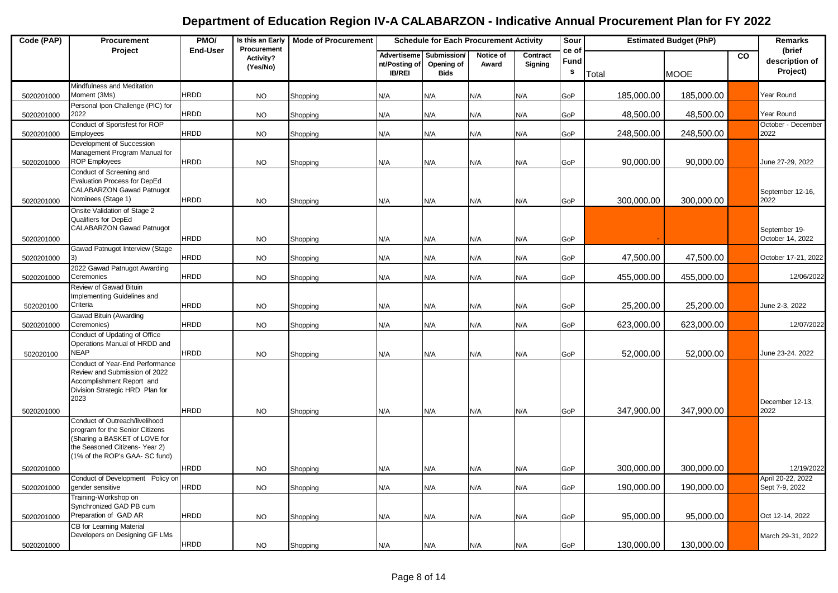| Procurement                                                                                                                                                                                                                                                                  |             | Remarks                                           |
|------------------------------------------------------------------------------------------------------------------------------------------------------------------------------------------------------------------------------------------------------------------------------|-------------|---------------------------------------------------|
| <b>End-User</b><br>Project<br>ce of<br>Advertiseme<br>Submission/<br>Notice of<br>Contract<br>Activity?<br>Fund<br>Opening of<br>nt/Posting of<br>Award<br>Signing<br>(Yes/No)<br>s<br><b>IB/REI</b><br><b>Bids</b><br>Total                                                 | <b>MOOE</b> | (brief<br><b>CO</b><br>description of<br>Project) |
| Mindfulness and Meditation<br><b>HRDD</b><br>Moment (3Ms)<br>185,000.00<br><b>NO</b><br>N/A<br>N/A<br>N/A<br>N/A<br>GoP<br>5020201000<br>Shopping                                                                                                                            | 185,000.00  | Year Round                                        |
| Personal Ipon Challenge (PIC) for<br><b>HRDD</b><br>2022<br>48,500.00<br>5020201000<br><b>NO</b><br>N/A<br>N/A<br>N/A<br>N/A<br>GoP<br>Shopping                                                                                                                              | 48,500.00   | Year Round                                        |
| Conduct of Sportsfest for ROP<br><b>HRDD</b><br>N/A<br>248,500.00<br>5020201000<br>Employees<br><b>NO</b><br>N/A<br>N/A<br>N/A<br>GoP<br>Shopping                                                                                                                            | 248,500.00  | October - December<br>2022                        |
| Development of Succession<br>Management Program Manual for<br><b>ROP Employees</b><br><b>HRDD</b><br>90,000.00<br>5020201000<br><b>NO</b><br>N/A<br>N/A<br>N/A<br>N/A<br>GoP<br>Shopping                                                                                     | 90,000.00   | June 27-29, 2022                                  |
| Conduct of Screening and<br>Evaluation Process for DepEd<br>CALABARZON Gawad Patnugot<br>Nominees (Stage 1)<br><b>HRDD</b><br>300,000.00<br><b>NO</b><br>N/A<br>N/A<br>N/A<br>GoP<br>5020201000<br>Shopping<br>N/A                                                           | 300,000.00  | September 12-16,<br>2022                          |
| Onsite Validation of Stage 2<br>Qualifiers for DepEd<br><b>CALABARZON Gawad Patnugot</b><br><b>HRDD</b><br>5020201000<br><b>NO</b><br>Shopping<br>N/A<br>N/A<br>N/A<br>N/A<br>GoP                                                                                            |             | September 19-<br>October 14, 2022                 |
| Gawad Patnugot Interview (Stage<br><b>HRDD</b><br>47,500.00<br><b>NO</b><br>N/A<br>N/A<br>N/A<br>N/A<br>GoP<br>5020201000<br>Shopping                                                                                                                                        | 47,500.00   | October 17-21, 2022                               |
| 2022 Gawad Patnugot Awarding<br><b>HRDD</b><br>Ceremonies<br>455,000.00<br><b>NO</b><br>N/A<br>N/A<br>N/A<br>N/A<br>GoP<br>5020201000<br>Shopping                                                                                                                            | 455,000.00  | 12/06/2022                                        |
| Review of Gawad Bituin<br>Implementing Guidelines and<br>Criteria<br><b>HRDD</b><br>25,200.00<br><b>NO</b><br>N/A<br>N/A<br>N/A<br>N/A<br>GoP<br>502020100<br>Shopping                                                                                                       | 25,200.00   | June 2-3, 2022                                    |
| Gawad Bituin (Awarding<br><b>HRDD</b><br>623,000.00<br>Ceremonies)<br>N/A<br>GoP<br>5020201000<br><b>NO</b><br>N/A<br>N/A<br>N/A<br>Shopping                                                                                                                                 | 623,000.00  | 12/07/2022                                        |
| Conduct of Updating of Office<br>Operations Manual of HRDD and<br><b>NEAP</b><br><b>HRDD</b><br>52,000.00<br>502020100<br><b>NO</b><br>N/A<br>N/A<br>N/A<br>N/A<br>GoP<br>Shopping                                                                                           | 52,000.00   | June 23-24. 2022                                  |
| Conduct of Year-End Performance<br>Review and Submission of 2022<br>Accomplishment Report and<br>Division Strategic HRD Plan for<br>2023                                                                                                                                     |             | December 12-13,                                   |
| <b>HRDD</b><br>347,900.00<br>N/A<br>5020201000<br><b>NO</b><br>N/A<br>N/A<br>N/A<br>GoP<br>Shopping<br>Conduct of Outreach/livelihood<br>program for the Senior Citizens<br>(Sharing a BASKET of LOVE for<br>the Seasoned Citizens-Year 2)<br>(1% of the ROP's GAA- SC fund) | 347,900.00  | 2022                                              |
| <b>HRDD</b><br>300,000.00<br>5020201000<br><b>NO</b><br>N/A<br>N/A<br>Shopping<br>N/A<br>N/A<br>GoP                                                                                                                                                                          | 300,000.00  | 12/19/2022                                        |
| Conduct of Development Policy on<br><b>HRDD</b><br>190,000.00<br>gender sensitive<br><b>NO</b><br>N/A<br>N/A<br>N/A<br>N/A<br>GoP<br>5020201000<br>Shopping                                                                                                                  | 190,000.00  | April 20-22, 2022<br>Sept 7-9, 2022               |
| Training-Workshop on<br>Synchronized GAD PB cum<br>Preparation of GAD AR<br><b>HRDD</b><br>95,000.00<br>5020201000<br><b>NO</b><br>N/A<br>N/A<br>N/A<br>GoP<br>Shopping<br>N/A                                                                                               | 95,000.00   | Oct 12-14, 2022                                   |
| CB for Learning Material<br>Developers on Designing GF LMs<br><b>HRDD</b><br>130,000.00<br>5020201000<br><b>NO</b><br>N/A<br>N/A<br>N/A<br>GoP<br>Shopping<br>N/A                                                                                                            | 130,000.00  | March 29-31, 2022                                 |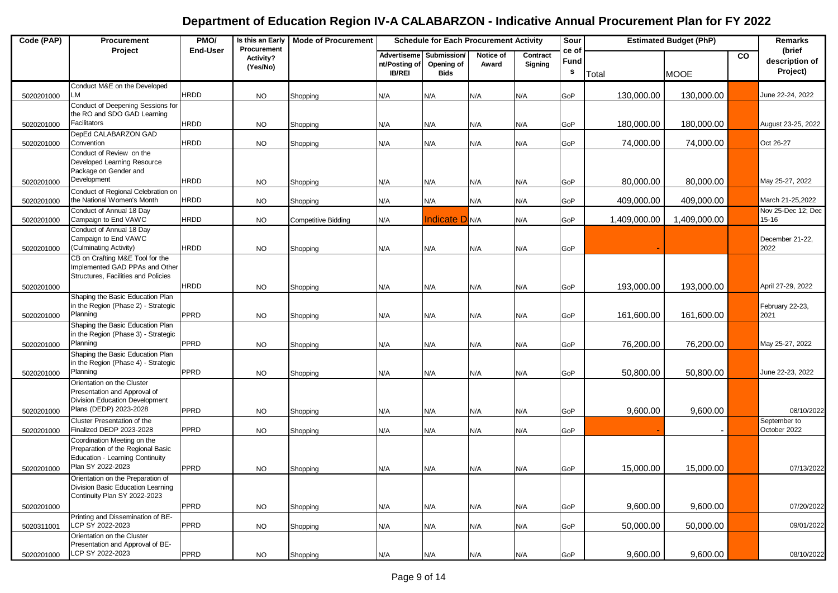| Code (PAP) | Procurement                                                                                                              | PMO/            | Is this an Early<br>Procurement | <b>Mode of Procurement</b> | <b>Schedule for Each Procurement Activity</b>        |                                          | Sour               |                     | <b>Estimated Budget (PhP)</b> |              | Remarks      |    |                                      |
|------------|--------------------------------------------------------------------------------------------------------------------------|-----------------|---------------------------------|----------------------------|------------------------------------------------------|------------------------------------------|--------------------|---------------------|-------------------------------|--------------|--------------|----|--------------------------------------|
|            | Project                                                                                                                  | <b>End-User</b> | Activity?<br>(Yes/No)           |                            | <b>Advertiseme</b><br>nt/Posting of<br><b>IB/REI</b> | Submission/<br>Opening of<br><b>Bids</b> | Notice of<br>Award | Contract<br>Signing | ce of<br>Fund<br>$\mathbf{s}$ | Total        | <b>MOOE</b>  | CO | (brief<br>description of<br>Project) |
| 5020201000 | Conduct M&E on the Developed<br><b>LM</b>                                                                                | <b>HRDD</b>     | <b>NO</b>                       | Shopping                   | N/A                                                  | N/A                                      | N/A                | N/A                 | GoP                           | 130,000.00   | 130,000.00   |    | June 22-24, 2022                     |
|            | Conduct of Deepening Sessions for<br>the RO and SDO GAD Learning                                                         |                 |                                 |                            |                                                      |                                          |                    |                     |                               |              |              |    |                                      |
| 5020201000 | Facilitators                                                                                                             | <b>HRDD</b>     | <b>NO</b>                       | Shopping                   | N/A                                                  | N/A                                      | N/A                | N/A                 | GoP                           | 180,000.00   | 180,000.00   |    | August 23-25, 2022                   |
| 5020201000 | DepEd CALABARZON GAD<br>Convention                                                                                       | <b>HRDD</b>     | <b>NO</b>                       | Shopping                   | N/A                                                  | N/A                                      | N/A                | N/A                 | GoP                           | 74,000.00    | 74,000.00    |    | Oct 26-27                            |
|            | Conduct of Review on the<br>Developed Learning Resource<br>Package on Gender and                                         |                 |                                 |                            |                                                      |                                          |                    |                     |                               |              |              |    |                                      |
| 5020201000 | Development                                                                                                              | <b>HRDD</b>     | <b>NO</b>                       | Shopping                   | N/A                                                  | N/A                                      | N/A                | N/A                 | GoP                           | 80,000.00    | 80,000.00    |    | May 25-27, 2022                      |
| 5020201000 | Conduct of Regional Celebration on<br>the National Women's Month                                                         | <b>HRDD</b>     | <b>NO</b>                       | Shopping                   | N/A                                                  | N/A                                      | N/A                | N/A                 | GoP                           | 409,000.00   | 409,000.00   |    | March 21-25,2022                     |
| 5020201000 | Conduct of Annual 18 Day<br>Campaign to End VAWC                                                                         | <b>HRDD</b>     | <b>NO</b>                       | <b>Competitive Bidding</b> | N/A                                                  | <b>Indicate D</b> N/A                    |                    | N/A                 | GoP                           | 1,409,000.00 | 1,409,000.00 |    | Nov 25-Dec 12; Dec<br>15-16          |
| 5020201000 | Conduct of Annual 18 Day<br>Campaign to End VAWC<br>(Culminating Activity)                                               | <b>HRDD</b>     | <b>NO</b>                       | Shopping                   | N/A                                                  | N/A                                      | N/A                | N/A                 | GoP                           |              |              |    | December 21-22.<br>2022              |
|            | CB on Crafting M&E Tool for the<br>Implemented GAD PPAs and Other<br>Structures. Facilities and Policies                 |                 |                                 |                            |                                                      |                                          |                    |                     |                               |              |              |    |                                      |
| 5020201000 |                                                                                                                          | <b>HRDD</b>     | <b>NO</b>                       | Shopping                   | N/A                                                  | N/A                                      | N/A                | N/A                 | GoP                           | 193,000.00   | 193,000.00   |    | April 27-29, 2022                    |
| 5020201000 | Shaping the Basic Education Plan<br>in the Region (Phase 2) - Strategic<br>Planning                                      | PPRD            | <b>NO</b>                       | Shopping                   | N/A                                                  | N/A                                      | N/A                | N/A                 | GoP                           | 161,600.00   | 161,600.00   |    | February 22-23,<br>2021              |
|            | Shaping the Basic Education Plan<br>in the Region (Phase 3) - Strategic                                                  |                 |                                 |                            |                                                      |                                          |                    |                     |                               |              |              |    |                                      |
| 5020201000 | Planning                                                                                                                 | PPRD            | <b>NO</b>                       | Shopping                   | N/A                                                  | N/A                                      | N/A                | N/A                 | GoP                           | 76,200.00    | 76,200.00    |    | May 25-27, 2022                      |
| 5020201000 | Shaping the Basic Education Plan<br>in the Region (Phase 4) - Strategic<br>Planning                                      | PPRD            | <b>NO</b>                       | Shopping                   | N/A                                                  | N/A                                      | N/A                | N/A                 | GoP                           | 50,800.00    | 50,800.00    |    | June 22-23, 2022                     |
|            | Orientation on the Cluster<br>Presentation and Approval of<br>Division Education Development                             |                 |                                 |                            |                                                      |                                          |                    |                     |                               |              |              |    |                                      |
| 5020201000 | Plans (DEDP) 2023-2028                                                                                                   | <b>PPRD</b>     | <b>NO</b>                       | Shopping                   | N/A                                                  | N/A                                      | N/A                | N/A                 | GoP                           | 9,600.00     | 9,600.00     |    | 08/10/2022                           |
| 5020201000 | Cluster Presentation of the<br>Finalized DEDP 2023-2028                                                                  | PPRD            | <b>NO</b>                       | Shopping                   | N/A                                                  | N/A                                      | N/A                | N/A                 | GoP                           |              |              |    | September to<br>October 2022         |
|            | Coordination Meeting on the<br>Preparation of the Regional Basic<br>Education - Learning Continuity<br>Plan SY 2022-2023 | PPRD            | <b>NO</b>                       |                            |                                                      |                                          |                    |                     | GoP                           | 15,000.00    | 15,000.00    |    | 07/13/2022                           |
| 5020201000 | Orientation on the Preparation of<br>Division Basic Education Learning                                                   |                 |                                 | Shopping                   | N/A                                                  | N/A                                      | N/A                | N/A                 |                               |              |              |    |                                      |
| 5020201000 | Continuity Plan SY 2022-2023                                                                                             | PPRD            | <b>NO</b>                       | Shopping                   | N/A                                                  | N/A                                      | N/A                | N/A                 | GoP                           | 9,600.00     | 9,600.00     |    | 07/20/2022                           |
| 5020311001 | Printing and Dissemination of BE-<br>LCP SY 2022-2023                                                                    | PPRD            | <b>NO</b>                       | Shopping                   | N/A                                                  | N/A                                      | N/A                | N/A                 | GoP                           | 50,000.00    | 50,000.00    |    | 09/01/2022                           |
| 5020201000 | Orientation on the Cluster<br>Presentation and Approval of BE-<br>LCP SY 2022-2023                                       | PPRD            | <b>NO</b>                       | Shopping                   | N/A                                                  | N/A                                      | N/A                | N/A                 | GoP                           | 9,600.00     | 9,600.00     |    | 08/10/2022                           |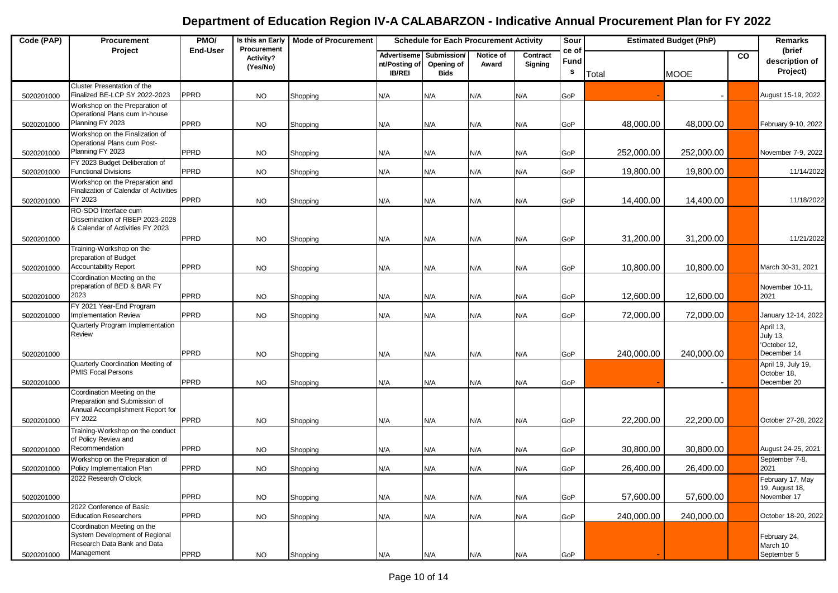| Code (PAP) | Procurement                                                                                      | PMO/            | Is this an Early                     | <b>Mode of Procurement</b> | <b>Schedule for Each Procurement Activity</b> |                                          |                    | Sour                |                                      | <b>Estimated Budget (PhP)</b> |             | Remarks   |                                                  |
|------------|--------------------------------------------------------------------------------------------------|-----------------|--------------------------------------|----------------------------|-----------------------------------------------|------------------------------------------|--------------------|---------------------|--------------------------------------|-------------------------------|-------------|-----------|--------------------------------------------------|
|            | Project                                                                                          | <b>End-User</b> | Procurement<br>Activity?<br>(Yes/No) |                            | Advertiseme<br>nt/Posting of<br><b>IB/REI</b> | Submission/<br>Opening of<br><b>Bids</b> | Notice of<br>Award | Contract<br>Signing | ce of<br><b>Fund</b><br>$\mathbf{s}$ | Total                         | <b>MOOE</b> | <b>CO</b> | (brief<br>description of<br>Project)             |
| 5020201000 | Cluster Presentation of the<br>Finalized BE-LCP SY 2022-2023                                     | PPRD            | <b>NO</b>                            | Shopping                   | N/A                                           | N/A                                      | N/A                | N/A                 | GoP                                  |                               |             |           | August 15-19, 2022                               |
|            | Workshop on the Preparation of<br>Operational Plans cum In-house                                 |                 |                                      |                            |                                               |                                          |                    |                     |                                      |                               |             |           |                                                  |
| 5020201000 | Planning FY 2023                                                                                 | <b>PPRD</b>     | <b>NO</b>                            | Shopping                   | N/A                                           | N/A                                      | N/A                | N/A                 | GoP                                  | 48,000.00                     | 48,000.00   |           | February 9-10, 2022                              |
| 5020201000 | Workshop on the Finalization of<br>Operational Plans cum Post-<br>Planning FY 2023               | PPRD            | <b>NO</b>                            |                            | N/A                                           | N/A                                      | N/A                | N/A                 | GoP                                  | 252,000.00                    | 252,000.00  |           | November 7-9, 2022                               |
|            | FY 2023 Budget Deliberation of                                                                   |                 |                                      | Shopping                   |                                               |                                          |                    |                     |                                      |                               |             |           |                                                  |
| 5020201000 | <b>Functional Divisions</b>                                                                      | <b>PPRD</b>     | <b>NO</b>                            | Shopping                   | N/A                                           | N/A                                      | N/A                | N/A                 | GoP                                  | 19,800.00                     | 19,800.00   |           | 11/14/2022                                       |
|            | Workshop on the Preparation and<br>Finalization of Calendar of Activities<br>FY 2023             | <b>PPRD</b>     |                                      |                            |                                               |                                          |                    |                     |                                      |                               |             |           |                                                  |
| 5020201000 | RO-SDO Interface cum                                                                             |                 | <b>NO</b>                            | Shopping                   | N/A                                           | N/A                                      | N/A                | N/A                 | GoP                                  | 14,400.00                     | 14,400.00   |           | 11/18/2022                                       |
|            | Dissemination of RBEP 2023-2028<br>& Calendar of Activities FY 2023                              |                 |                                      |                            |                                               |                                          |                    |                     |                                      |                               |             |           |                                                  |
| 5020201000 |                                                                                                  | PPRD            | <b>NO</b>                            | Shopping                   | N/A                                           | N/A                                      | N/A                | N/A                 | GoP                                  | 31,200.00                     | 31,200.00   |           | 11/21/2022                                       |
|            | Training-Workshop on the<br>preparation of Budget                                                |                 |                                      |                            |                                               |                                          |                    |                     |                                      |                               |             |           |                                                  |
| 5020201000 | <b>Accountability Report</b><br>Coordination Meeting on the                                      | PPRD            | <b>NO</b>                            | Shopping                   | N/A                                           | N/A                                      | N/A                | N/A                 | GoP                                  | 10,800.00                     | 10,800.00   |           | March 30-31, 2021                                |
| 5020201000 | preparation of BED & BAR FY<br>2023                                                              | <b>PPRD</b>     | <b>NO</b>                            | Shopping                   | N/A                                           | N/A                                      | N/A                | N/A                 | GoP                                  | 12,600.00                     | 12,600.00   |           | November 10-11,<br>2021                          |
| 5020201000 | FY 2021 Year-End Program<br><b>Implementation Review</b>                                         | PPRD            | <b>NO</b>                            | Shopping                   | N/A                                           | N/A                                      | N/A                | N/A                 | GoP                                  | 72,000.00                     | 72,000.00   |           | January 12-14, 2022                              |
|            | Quarterly Program Implementation<br>Review                                                       |                 |                                      |                            |                                               |                                          |                    |                     |                                      |                               |             |           | April 13,<br><b>July 13,</b><br>'October 12,     |
| 5020201000 |                                                                                                  | PPRD            | <b>NO</b>                            | Shopping                   | N/A                                           | N/A                                      | N/A                | N/A                 | GoP                                  | 240,000.00                    | 240,000.00  |           | December 14                                      |
| 5020201000 | Quarterly Coordination Meeting of<br><b>PMIS Focal Persons</b>                                   | PPRD            | <b>NO</b>                            | Shopping                   | N/A                                           | N/A                                      | N/A                | N/A                 | GoP                                  |                               |             |           | April 19, July 19,<br>October 18,<br>December 20 |
|            | Coordination Meeting on the<br>Preparation and Submission of<br>Annual Accomplishment Report for |                 |                                      |                            |                                               |                                          |                    |                     |                                      |                               |             |           |                                                  |
| 5020201000 | FY 2022                                                                                          | <b>PPRD</b>     | <b>NO</b>                            | Shopping                   | N/A                                           | N/A                                      | N/A                | N/A                 | GoP                                  | 22,200.00                     | 22,200.00   |           | October 27-28, 2022                              |
| 5020201000 | Training-Workshop on the conduct<br>of Policy Review and<br>Recommendation                       | <b>PPRD</b>     | <b>NO</b>                            | Shopping                   | N/A                                           | N/A                                      | N/A                | N/A                 | GoP                                  | 30,800.00                     | 30,800.00   |           | August 24-25, 2021                               |
| 5020201000 | Workshop on the Preparation of<br>Policy Implementation Plan                                     | <b>PPRD</b>     | <b>NO</b>                            | Shopping                   | N/A                                           | N/A                                      | N/A                | N/A                 | GoP                                  | 26,400.00                     | 26,400.00   |           | September 7-8,<br>2021                           |
|            | 2022 Research O'clock                                                                            |                 |                                      |                            |                                               |                                          |                    |                     |                                      |                               |             |           | February 17, May                                 |
| 5020201000 |                                                                                                  | <b>PPRD</b>     | <b>NO</b>                            | Shopping                   | N/A                                           | N/A                                      | N/A                | N/A                 | GoP                                  | 57,600.00                     | 57,600.00   |           | 19, August 18,<br>November 17                    |
| 5020201000 | 2022 Conference of Basic<br><b>Education Researchers</b>                                         | PPRD            | <b>NO</b>                            | Shopping                   | N/A                                           | N/A                                      | N/A                | N/A                 | GoP                                  | 240,000.00                    | 240,000.00  |           | October 18-20, 2022                              |
|            | Coordination Meeting on the<br>System Development of Regional<br>Research Data Bank and Data     |                 |                                      |                            |                                               |                                          |                    |                     |                                      |                               |             |           | February 24,<br>March 10                         |
| 5020201000 | Management                                                                                       | PPRD            | <b>NO</b>                            | Shopping                   | N/A                                           | N/A                                      | N/A                | N/A                 | GoP                                  |                               |             |           | September 5                                      |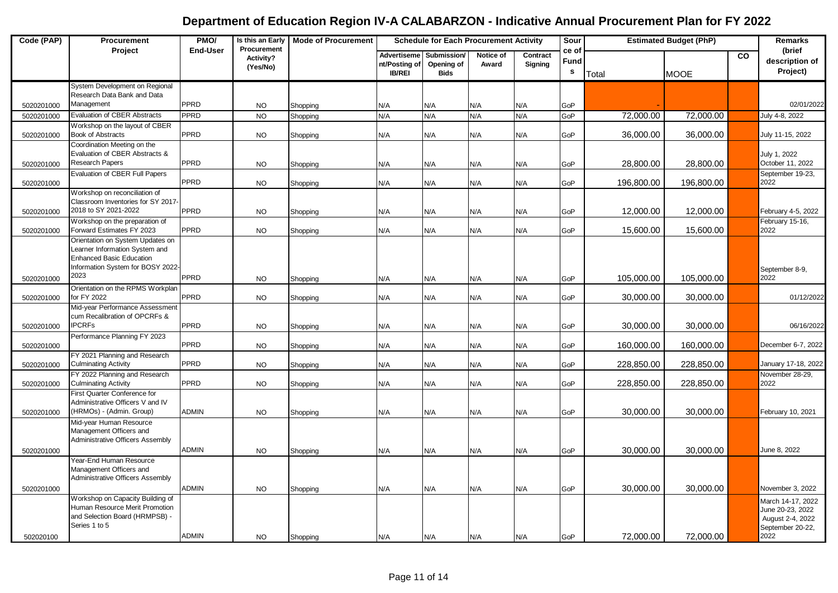| Code (PAP) | Procurement                                                                                                                                | PMO/            | Is this an Early<br>Procurement | <b>Mode of Procurement</b> | <b>Schedule for Each Procurement Activity</b> |                                          |                    |                     | Sour                          |            | <b>Estimated Budget (PhP)</b> |    | Remarks                                                                               |
|------------|--------------------------------------------------------------------------------------------------------------------------------------------|-----------------|---------------------------------|----------------------------|-----------------------------------------------|------------------------------------------|--------------------|---------------------|-------------------------------|------------|-------------------------------|----|---------------------------------------------------------------------------------------|
|            | Project                                                                                                                                    | <b>End-User</b> | Activity?<br>(Yes/No)           |                            | Advertiseme<br>nt/Posting of<br><b>IB/REI</b> | Submission/<br>Opening of<br><b>Bids</b> | Notice of<br>Award | Contract<br>Signing | ce of<br>Fund<br>$\mathbf{s}$ | Total      | <b>MOOE</b>                   | co | (brief<br>description of<br>Project)                                                  |
|            | System Development on Regional<br>Research Data Bank and Data                                                                              |                 |                                 |                            |                                               |                                          |                    |                     |                               |            |                               |    |                                                                                       |
| 5020201000 | Management                                                                                                                                 | PPRD            | <b>NO</b>                       | Shopping                   | N/A                                           | N/A                                      | N/A                | N/A                 | GoP                           |            |                               |    | 02/01/2022                                                                            |
| 5020201000 | <b>Evaluation of CBER Abstracts</b>                                                                                                        | <b>PPRD</b>     | <b>NO</b>                       | Shopping                   | N/A                                           | N/A                                      | N/A                | N/A                 | GoP                           | 72,000.00  | 72,000.00                     |    | July 4-8, 2022                                                                        |
| 5020201000 | Workshop on the layout of CBER<br><b>Book of Abstracts</b>                                                                                 | <b>PPRD</b>     | <b>NO</b>                       | Shopping                   | N/A                                           | N/A                                      | N/A                | N/A                 | GoP                           | 36,000.00  | 36,000.00                     |    | July 11-15, 2022                                                                      |
|            | Coordination Meeting on the<br>Evaluation of CBER Abstracts &                                                                              |                 |                                 |                            |                                               |                                          |                    |                     |                               |            |                               |    | July 1, 2022                                                                          |
| 5020201000 | Research Papers                                                                                                                            | PPRD            | <b>NO</b>                       | Shopping                   | N/A                                           | N/A                                      | N/A                | N/A                 | GoP                           | 28,800.00  | 28,800.00                     |    | October 11, 2022                                                                      |
| 5020201000 | Evaluation of CBER Full Papers                                                                                                             | PPRD            | <b>NO</b>                       | Shopping                   | N/A                                           | N/A                                      | N/A                | N/A                 | GoP                           | 196,800.00 | 196,800.00                    |    | September 19-23,<br>2022                                                              |
|            | Workshop on reconciliation of<br>Classroom Inventories for SY 2017-                                                                        |                 |                                 |                            |                                               |                                          |                    |                     |                               |            |                               |    |                                                                                       |
| 5020201000 | 2018 to SY 2021-2022<br>Workshop on the preparation of                                                                                     | <b>PPRD</b>     | <b>NO</b>                       | Shopping                   | N/A                                           | N/A                                      | N/A                | N/A                 | GoP                           | 12,000.00  | 12,000.00                     |    | February 4-5, 2022<br>February 15-16,                                                 |
| 5020201000 | Forward Estimates FY 2023                                                                                                                  | PPRD            | <b>NO</b>                       | Shopping                   | N/A                                           | N/A                                      | N/A                | N/A                 | GoP                           | 15,600.00  | 15,600.00                     |    | 2022                                                                                  |
|            | Orientation on System Updates on<br>Learner Information System and<br><b>Enhanced Basic Education</b><br>Information System for BOSY 2022- |                 |                                 |                            |                                               |                                          |                    |                     |                               |            |                               |    | September 8-9,                                                                        |
| 5020201000 | 2023                                                                                                                                       | PPRD            | <b>NO</b>                       | Shopping                   | N/A                                           | N/A                                      | N/A                | N/A                 | GoP                           | 105,000.00 | 105,000.00                    |    | 2022                                                                                  |
| 5020201000 | Orientation on the RPMS Workplan<br>for FY 2022                                                                                            | <b>PPRD</b>     | <b>NO</b>                       | Shopping                   | N/A                                           | N/A                                      | N/A                | N/A                 | GoP                           | 30,000.00  | 30,000.00                     |    | 01/12/2022                                                                            |
|            | Mid-year Performance Assessment<br>cum Recalibration of OPCRFs &                                                                           |                 |                                 |                            |                                               |                                          |                    |                     |                               |            |                               |    |                                                                                       |
| 5020201000 | <b>IPCRFs</b>                                                                                                                              | PPRD            | <b>NO</b>                       | Shopping                   | N/A                                           | N/A                                      | N/A                | N/A                 | GoP                           | 30,000.00  | 30,000.00                     |    | 06/16/2022                                                                            |
| 5020201000 | Performance Planning FY 2023                                                                                                               | PPRD            | <b>NO</b>                       | Shopping                   | N/A                                           | N/A                                      | N/A                | N/A                 | GoP                           | 160,000.00 | 160,000.00                    |    | December 6-7, 2022                                                                    |
| 5020201000 | FY 2021 Planning and Research<br><b>Culminating Activity</b>                                                                               | <b>PPRD</b>     | <b>NO</b>                       | Shopping                   | N/A                                           | N/A                                      | N/A                | N/A                 | GoP                           | 228,850.00 | 228,850.00                    |    | January 17-18, 2022                                                                   |
| 5020201000 | FY 2022 Planning and Research<br><b>Culminating Activity</b>                                                                               | PPRD            | <b>NO</b>                       | Shopping                   | N/A                                           | N/A                                      | N/A                | N/A                 | GoP                           | 228,850.00 | 228,850.00                    |    | November 28-29,<br>2022                                                               |
| 5020201000 | First Quarter Conference for<br>Administrative Officers V and IV<br>(HRMOs) - (Admin. Group)                                               | <b>ADMIN</b>    | <b>NO</b>                       | Shopping                   | N/A                                           | N/A                                      | N/A                | N/A                 | GoP                           | 30,000.00  | 30,000.00                     |    | February 10, 2021                                                                     |
|            | Mid-year Human Resource<br>Management Officers and<br>Administrative Officers Assembly                                                     |                 |                                 |                            |                                               |                                          |                    |                     |                               |            |                               |    |                                                                                       |
| 5020201000 | Year-End Human Resource                                                                                                                    | <b>ADMIN</b>    | <b>NO</b>                       | Shopping                   | N/A                                           | N/A                                      | N/A                | N/A                 | GoP                           | 30,000.00  | 30,000.00                     |    | June 8, 2022                                                                          |
|            | Management Officers and<br>Administrative Officers Assembly                                                                                |                 |                                 |                            |                                               |                                          |                    |                     |                               |            |                               |    |                                                                                       |
| 5020201000 |                                                                                                                                            | <b>ADMIN</b>    | <b>NO</b>                       | Shopping                   | N/A                                           | N/A                                      | N/A                | N/A                 | GoP                           | 30,000.00  | 30,000.00                     |    | November 3, 2022                                                                      |
| 502020100  | Workshop on Capacity Building of<br>Human Resource Merit Promotion<br>and Selection Board (HRMPSB) -<br>Series 1 to 5                      | <b>ADMIN</b>    | <b>NO</b>                       |                            | N/A                                           | N/A                                      | N/A                | N/A                 | GoP                           | 72,000.00  | 72,000.00                     |    | March 14-17, 2022<br>June 20-23, 2022<br>August 2-4, 2022<br>September 20-22,<br>2022 |
|            |                                                                                                                                            |                 |                                 | Shopping                   |                                               |                                          |                    |                     |                               |            |                               |    |                                                                                       |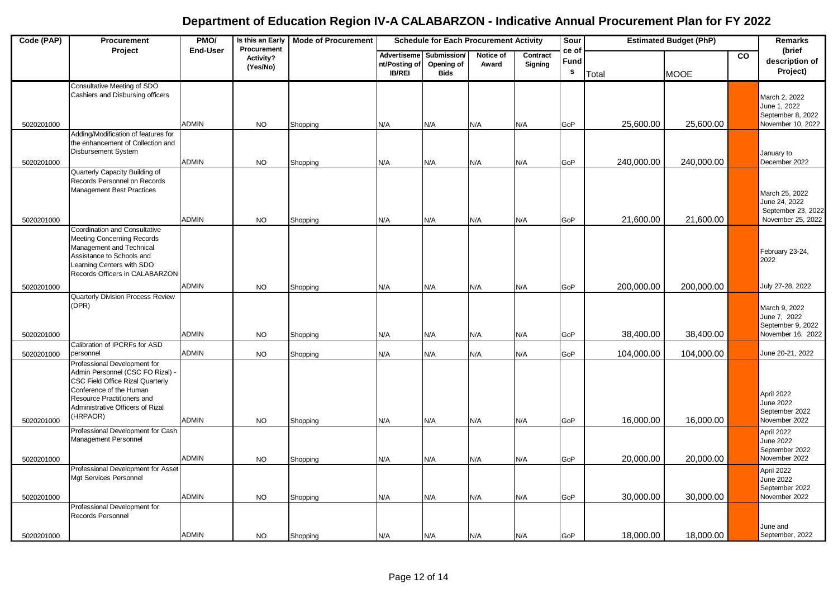| Code (PAP) | Procurement                                                                                                                                                                                | PMO/            | Is this an Early                     | <b>Mode of Procurement</b> | <b>Schedule for Each Procurement Activity</b>        |                                          |                    |                     | Sour                      |            | <b>Estimated Budget (PhP)</b> |    | Remarks                                                                 |
|------------|--------------------------------------------------------------------------------------------------------------------------------------------------------------------------------------------|-----------------|--------------------------------------|----------------------------|------------------------------------------------------|------------------------------------------|--------------------|---------------------|---------------------------|------------|-------------------------------|----|-------------------------------------------------------------------------|
|            | Project                                                                                                                                                                                    | <b>End-User</b> | Procurement<br>Activity?<br>(Yes/No) |                            | <b>Advertiseme</b><br>nt/Posting of<br><b>IB/REI</b> | Submission/<br>Opening of<br><b>Bids</b> | Notice of<br>Award | Contract<br>Signing | ce of<br><b>Fund</b><br>s | Total      | <b>MOOE</b>                   | co | (brief<br>description of<br>Project)                                    |
|            | Consultative Meeting of SDO<br>Cashiers and Disbursing officers                                                                                                                            |                 |                                      |                            |                                                      |                                          |                    |                     |                           |            |                               |    | March 2, 2022<br>June 1, 2022<br>September 8, 2022                      |
| 5020201000 | Adding/Modification of features for                                                                                                                                                        | <b>ADMIN</b>    | <b>NO</b>                            | Shopping                   | N/A                                                  | N/A                                      | N/A                | N/A                 | GoP                       | 25,600.00  | 25,600.00                     |    | November 10, 2022                                                       |
|            | the enhancement of Collection and<br><b>Disbursement System</b>                                                                                                                            | <b>ADMIN</b>    |                                      |                            |                                                      |                                          |                    |                     |                           |            |                               |    | January to<br>December 2022                                             |
| 5020201000 | Quarterly Capacity Building of                                                                                                                                                             |                 | <b>NO</b>                            | Shopping                   | N/A                                                  | N/A                                      | N/A                | N/A                 | GoP                       | 240,000.00 | 240,000.00                    |    |                                                                         |
|            | Records Personnel on Records<br><b>Management Best Practices</b>                                                                                                                           |                 |                                      |                            |                                                      |                                          |                    |                     |                           |            |                               |    | March 25, 2022<br>June 24, 2022<br>September 23, 2022                   |
| 5020201000 |                                                                                                                                                                                            | <b>ADMIN</b>    | <b>NO</b>                            | Shopping                   | N/A                                                  | N/A                                      | N/A                | N/A                 | GoP                       | 21,600.00  | 21,600.00                     |    | November 25, 2022                                                       |
|            | Coordination and Consultative<br><b>Meeting Concerning Records</b><br>Management and Technical<br>Assistance to Schools and<br>Learning Centers with SDO<br>Records Officers in CALABARZON |                 |                                      |                            |                                                      |                                          |                    |                     |                           |            |                               |    | February 23-24,<br>2022                                                 |
| 5020201000 |                                                                                                                                                                                            | <b>ADMIN</b>    | <b>NO</b>                            | Shopping                   | N/A                                                  | N/A                                      | N/A                | N/A                 | GoP                       | 200,000.00 | 200,000.00                    |    | July 27-28, 2022                                                        |
| 5020201000 | Quarterly Division Process Review<br>(DPR)                                                                                                                                                 | <b>ADMIN</b>    | <b>NO</b>                            | Shopping                   | N/A                                                  | N/A                                      | N/A                | N/A                 | GoP                       | 38,400.00  | 38,400.00                     |    | March 9, 2022<br>June 7, 2022<br>September 9, 2022<br>November 16, 2022 |
|            | Calibration of IPCRFs for ASD                                                                                                                                                              |                 |                                      |                            |                                                      |                                          |                    |                     |                           |            |                               |    |                                                                         |
| 5020201000 | personnel<br>Professional Development for<br>Admin Personnel (CSC FO Rizal)<br>CSC Field Office Rizal Quarterly<br>Conference of the Human                                                 | <b>ADMIN</b>    | <b>NO</b>                            | Shopping                   | N/A                                                  | N/A                                      | N/A                | N/A                 | GoP                       | 104,000.00 | 104,000.00                    |    | June 20-21, 2022<br>April 2022                                          |
|            | Resource Practitioners and<br>Administrative Officers of Rizal                                                                                                                             |                 |                                      |                            |                                                      |                                          |                    |                     |                           |            |                               |    | June 2022                                                               |
| 5020201000 | (HRPAOR)                                                                                                                                                                                   | <b>ADMIN</b>    | <b>NO</b>                            | Shopping                   | N/A                                                  | N/A                                      | N/A                | N/A                 | GoP                       | 16,000.00  | 16,000.00                     |    | September 2022<br>November 2022                                         |
|            | Professional Development for Cash<br>Management Personnel                                                                                                                                  |                 |                                      |                            |                                                      |                                          |                    |                     |                           |            |                               |    | April 2022<br>June 2022<br>September 2022                               |
| 5020201000 |                                                                                                                                                                                            | <b>ADMIN</b>    | <b>NO</b>                            | Shopping                   | N/A                                                  | N/A                                      | N/A                | N/A                 | GoP                       | 20,000.00  | 20,000.00                     |    | November 2022                                                           |
| 5020201000 | Professional Development for Asset<br>Mgt Services Personnel                                                                                                                               | <b>ADMIN</b>    | <b>NO</b>                            | Shopping                   | N/A                                                  | N/A                                      | N/A                | N/A                 | GoP                       | 30,000.00  | 30,000.00                     |    | April 2022<br>June 2022<br>September 2022<br>November 2022              |
|            | Professional Development for<br>Records Personnel                                                                                                                                          |                 |                                      |                            |                                                      |                                          |                    |                     |                           |            |                               |    |                                                                         |
| 5020201000 |                                                                                                                                                                                            | <b>ADMIN</b>    | <b>NO</b>                            | Shopping                   | N/A                                                  | N/A                                      | N/A                | N/A                 | GoP                       | 18,000.00  | 18,000.00                     |    | June and<br>September, 2022                                             |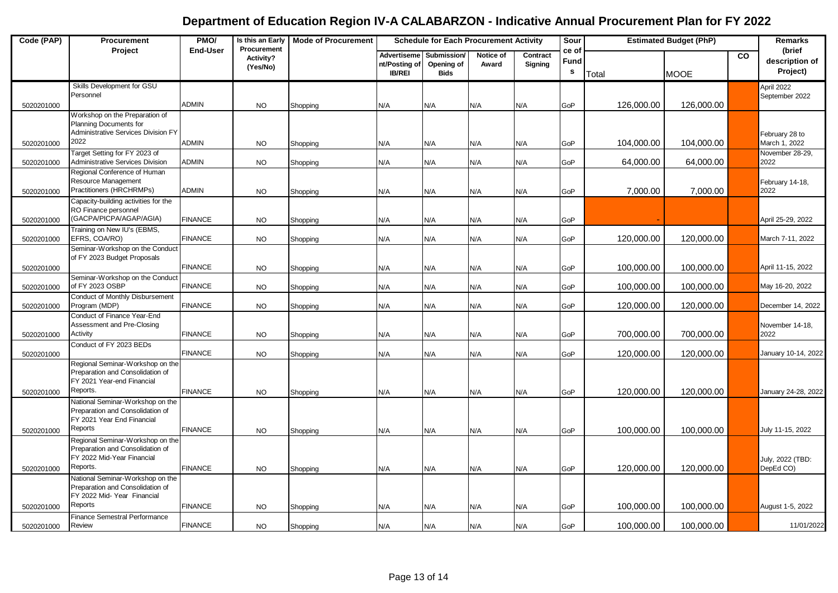| Code (PAP) | Procurement                                                                                                    | PMO/            | Is this an Early                     | <b>Mode of Procurement</b> | <b>Schedule for Each Procurement Activity</b> |                                          |                    |                     | Sour                         | <b>Estimated Budget (PhP)</b> |             | Remarks        |                                      |
|------------|----------------------------------------------------------------------------------------------------------------|-----------------|--------------------------------------|----------------------------|-----------------------------------------------|------------------------------------------|--------------------|---------------------|------------------------------|-------------------------------|-------------|----------------|--------------------------------------|
|            | Project                                                                                                        | <b>End-User</b> | Procurement<br>Activity?<br>(Yes/No) |                            | Advertiseme<br>nt/Posting of<br><b>IB/REI</b> | Submission/<br>Opening of<br><b>Bids</b> | Notice of<br>Award | Contract<br>Signing | ce of<br>Fund<br>$\mathbf s$ | Total                         | <b>MOOE</b> | $\overline{c}$ | (brief<br>description of<br>Project) |
| 5020201000 | Skills Development for GSU<br>Personnel                                                                        | <b>ADMIN</b>    | <b>NO</b>                            | Shopping                   | N/A                                           | N/A                                      | N/A                | N/A                 | GoP                          | 126,000.00                    | 126,000.00  |                | April 2022<br>September 2022         |
|            | Workshop on the Preparation of<br>Planning Documents for<br>Administrative Services Division FY                |                 |                                      |                            |                                               |                                          |                    |                     |                              |                               |             |                | February 28 to                       |
| 5020201000 | 2022                                                                                                           | <b>ADMIN</b>    | NO.                                  | Shopping                   | N/A                                           | N/A                                      | N/A                | N/A                 | GoP                          | 104,000.00                    | 104,000.00  |                | March 1, 2022                        |
| 5020201000 | Target Setting for FY 2023 of<br><b>Administrative Services Division</b>                                       | <b>ADMIN</b>    | <b>NO</b>                            | Shopping                   | N/A                                           | N/A                                      | N/A                | N/A                 | GoP                          | 64,000.00                     | 64,000.00   |                | November 28-29,<br>2022              |
| 5020201000 | Regional Conference of Human<br>Resource Management<br>Practitioners (HRCHRMPs)                                | <b>ADMIN</b>    | <b>NO</b>                            | Shopping                   | N/A                                           | N/A                                      | N/A                | N/A                 | GoP                          | 7,000.00                      | 7,000.00    |                | February 14-18,<br>2022              |
| 5020201000 | Capacity-building activities for the<br>RO Finance personnel<br>(GACPA/PICPA/AGAP/AGIA)                        | <b>FINANCE</b>  | <b>NO</b>                            | Shopping                   | N/A                                           | N/A                                      | N/A                | N/A                 | GoP                          |                               |             |                | April 25-29, 2022                    |
| 5020201000 | Training on New IU's (EBMS,<br>EFRS, COA/RO)                                                                   | <b>FINANCE</b>  | <b>NO</b>                            | Shopping                   | N/A                                           | N/A                                      | N/A                | N/A                 | GoP                          | 120,000.00                    | 120,000.00  |                | March 7-11, 2022                     |
|            | Seminar-Workshop on the Conduct<br>of FY 2023 Budget Proposals                                                 | <b>FINANCE</b>  |                                      |                            |                                               |                                          |                    |                     |                              |                               |             |                |                                      |
| 5020201000 | Seminar-Workshop on the Conduct                                                                                |                 | <b>NO</b>                            | Shopping                   | N/A                                           | N/A                                      | N/A                | N/A                 | GoP                          | 100,000.00                    | 100,000.00  |                | April 11-15, 2022                    |
| 5020201000 | of FY 2023 OSBP                                                                                                | <b>FINANCE</b>  | <b>NO</b>                            | Shopping                   | N/A                                           | N/A                                      | N/A                | N/A                 | GoP                          | 100,000.00                    | 100,000.00  |                | May 16-20, 2022                      |
| 5020201000 | Conduct of Monthly Disbursement<br>Program (MDP)                                                               | <b>FINANCE</b>  | <b>NO</b>                            | Shopping                   | N/A                                           | N/A                                      | N/A                | N/A                 | GoP                          | 120,000.00                    | 120,000.00  |                | December 14, 2022                    |
| 5020201000 | Conduct of Finance Year-End<br>Assessment and Pre-Closing<br>Activity                                          | <b>FINANCE</b>  | <b>NO</b>                            | Shopping                   | N/A                                           | N/A                                      | N/A                | N/A                 | GoP                          | 700,000.00                    | 700,000.00  |                | November 14-18,<br>2022              |
| 5020201000 | Conduct of FY 2023 BEDs                                                                                        | <b>FINANCE</b>  | <b>NO</b>                            | Shopping                   | N/A                                           | N/A                                      | N/A                | N/A                 | GoP                          | 120,000.00                    | 120,000.00  |                | January 10-14, 2022                  |
|            | Regional Seminar-Workshop on the<br>Preparation and Consolidation of<br>FY 2021 Year-end Financial             |                 |                                      |                            |                                               |                                          |                    |                     |                              |                               |             |                |                                      |
| 5020201000 | Reports.<br>National Seminar-Workshop on the                                                                   | <b>FINANCE</b>  | <b>NO</b>                            | Shopping                   | N/A                                           | N/A                                      | N/A                | N/A                 | GoP                          | 120.000.00                    | 120,000,00  |                | January 24-28, 2022                  |
| 5020201000 | Preparation and Consolidation of<br>FY 2021 Year End Financial<br>Reports                                      | <b>FINANCE</b>  | <b>NO</b>                            | Shopping                   | N/A                                           | N/A                                      | N/A                | N/A                 | GoP                          | 100,000.00                    | 100,000.00  |                | July 11-15, 2022                     |
| 5020201000 | Regional Seminar-Workshop on the<br>Preparation and Consolidation of<br>FY 2022 Mid-Year Financial<br>Reports. | <b>FINANCE</b>  | <b>NO</b>                            | Shopping                   | N/A                                           | N/A                                      | N/A                | N/A                 | GoP                          | 120,000.00                    | 120,000.00  |                | July, 2022 (TBD:<br>DepEd CO)        |
|            | National Seminar-Workshop on the<br>Preparation and Consolidation of<br>FY 2022 Mid-Year Financial             |                 |                                      |                            |                                               |                                          |                    |                     |                              |                               |             |                |                                      |
| 5020201000 | Reports<br><b>Finance Semestral Performance</b>                                                                | <b>FINANCE</b>  | <b>NO</b>                            | Shopping                   | N/A                                           | N/A                                      | N/A                | N/A                 | GoP                          | 100,000.00                    | 100,000.00  |                | August 1-5, 2022                     |
| 5020201000 | Review                                                                                                         | <b>FINANCE</b>  | <b>NO</b>                            | Shopping                   | N/A                                           | N/A                                      | N/A                | N/A                 | GoP                          | 100,000.00                    | 100,000.00  |                | 11/01/2022                           |